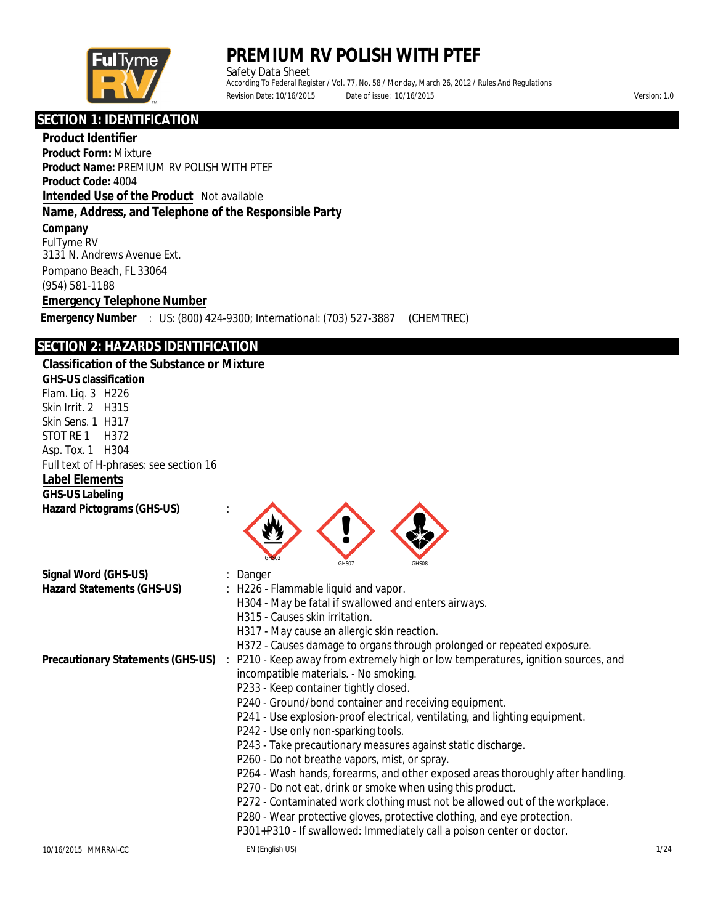

Safety Data Sheet According To Federal Register / Vol. 77, No. 58 / Monday, March 26, 2012 / Rules And Regulations Revision Date: 10/16/2015 Date of issue: 10/16/2015 Version: 1.0

ׇ֬֕ **SECTION 1: IDENTIFICATION**

**Product Identifier Product Form:** Mixture **Product Name:** PREMIUM RV POLISH WITH PTEF **Product Code:** 4004 **Intended Use of the Product** Not available **Name, Address, and Telephone of the Responsible Party Company** FulTyme RV 3131 N. Andrews Avenue Ext. Pompano Beach, FL 33064

(954) 581-1188

**Emergency Telephone Number**

**Emergency Number** : US: (800) 424-9300; International: (703) 527-3887 (CHEMTREC)

### **SECTION 2: HAZARDS IDENTIFICATION**

| <u>jechon z. hazards iden in kahon</u>            |                                                                                 |
|---------------------------------------------------|---------------------------------------------------------------------------------|
| <b>Classification of the Substance or Mixture</b> |                                                                                 |
| <b>GHS-US</b> classification                      |                                                                                 |
| Flam. Liq. 3 H226                                 |                                                                                 |
| <b>Skin Irrit. 2 H315</b>                         |                                                                                 |
| <b>Skin Sens. 1 H317</b>                          |                                                                                 |
| <b>STOT RE1</b><br>H372                           |                                                                                 |
| Asp. Tox. 1 H304                                  |                                                                                 |
| Full text of H-phrases: see section 16            |                                                                                 |
| <b>Label Elements</b>                             |                                                                                 |
| <b>GHS-US Labeling</b>                            |                                                                                 |
| <b>Hazard Pictograms (GHS-US)</b>                 | GHS07<br><b>GHS08</b>                                                           |
| Signal Word (GHS-US)                              | <b>Danger</b>                                                                   |
| <b>Hazard Statements (GHS-US)</b>                 | : H226 - Flammable liquid and vapor.                                            |
|                                                   | H304 - May be fatal if swallowed and enters airways.                            |
|                                                   | H315 - Causes skin irritation.                                                  |
|                                                   | H317 - May cause an allergic skin reaction.                                     |
|                                                   | H372 - Causes damage to organs through prolonged or repeated exposure.          |
| <b>Precautionary Statements (GHS-US)</b>          | P210 - Keep away from extremely high or low temperatures, ignition sources, and |
|                                                   | incompatible materials. - No smoking.                                           |
|                                                   | P233 - Keep container tightly closed.                                           |
|                                                   | P240 - Ground/bond container and receiving equipment.                           |
|                                                   | P241 - Use explosion-proof electrical, ventilating, and lighting equipment.     |
|                                                   | P242 - Use only non-sparking tools.                                             |
|                                                   | P243 - Take precautionary measures against static discharge.                    |
|                                                   | P260 - Do not breathe vapors, mist, or spray.                                   |
|                                                   | P264 - Wash hands, forearms, and other exposed areas thoroughly after handling. |
|                                                   | P270 - Do not eat, drink or smoke when using this product.                      |
|                                                   | P272 - Contaminated work clothing must not be allowed out of the workplace.     |
|                                                   | P280 - Wear protective gloves, protective clothing, and eye protection.         |
|                                                   | P301+P310 - If swallowed: Immediately call a poison center or doctor.           |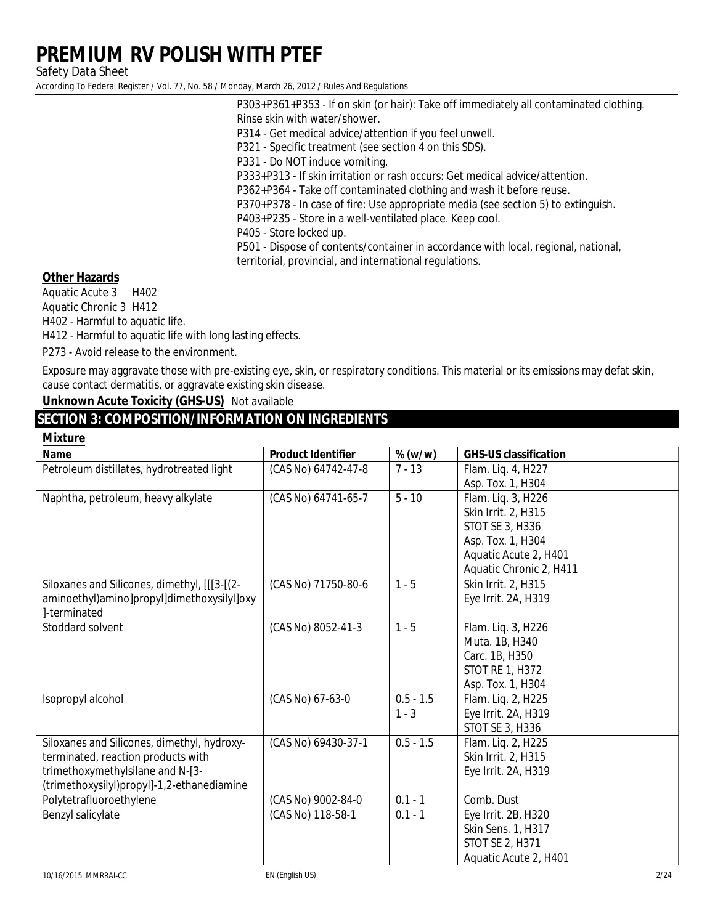**Safety Data Sheet** 

According To Federal Register / Vol. 77, No. 58 / Monday, March 26, 2012 / Rules And Regulations

P303+P361+P353 - If on skin (or hair): Take off immediately all contaminated clothing. Rinse skin with water/shower. P314 - Get medical advice/attention if you feel unwell. P321 - Specific treatment (see section 4 on this SDS). P331 - Do NOT induce vomiting. P333+P313 - If skin irritation or rash occurs: Get medical advice/attention. P362+P364 - Take off contaminated clothing and wash it before reuse. P370+P378 - In case of fire: Use appropriate media (see section 5) to extinguish. P403+P235 - Store in a well-ventilated place. Keep cool.

P405 - Store locked up.

P501 - Dispose of contents/container in accordance with local, regional, national, territorial, provincial, and international regulations.

#### **Other Hazards**

**Aquatic Acute 3** H402 **Aquatic Chronic 3 H412** H402 - Harmful to aquatic life. H412 - Harmful to aquatic life with long lasting effects.

P273 - Avoid release to the environment.

Exposure may aggravate those with pre-existing eye, skin, or respiratory conditions. This material or its emissions may defat skin, cause contact dermatitis, or aggravate existing skin disease.

**Unknown Acute Toxicity (GHS-US)** Not available

### **SECTION 3: COMPOSITION/INFORMATION ON INGREDIENTS**

| <b>Mixture</b>                               |                           |             |                                |
|----------------------------------------------|---------------------------|-------------|--------------------------------|
| <b>Name</b>                                  | <b>Product Identifier</b> | $\%$ (w/w)  | <b>GHS-US classification</b>   |
| Petroleum distillates, hydrotreated light    | (CAS No) 64742-47-8       | $7 - 13$    | Flam. Liq. 4, H227             |
|                                              |                           |             | Asp. Tox. 1, H304              |
| Naphtha, petroleum, heavy alkylate           | (CAS No) 64741-65-7       | $5 - 10$    | Flam. Liq. 3, H226             |
|                                              |                           |             | Skin Irrit. 2, H315            |
|                                              |                           |             | <b>STOT SE 3, H336</b>         |
|                                              |                           |             | Asp. Tox. 1, H304              |
|                                              |                           |             | <b>Aquatic Acute 2, H401</b>   |
|                                              |                           |             | <b>Aquatic Chronic 2, H411</b> |
| Siloxanes and Silicones, dimethyl, [[[3-[(2- | (CAS No) 71750-80-6       | $1 - 5$     | Skin Irrit. 2, H315            |
| aminoethyl)amino]propyl]dimethoxysilyl]oxy   |                           |             | <b>Eye Irrit. 2A, H319</b>     |
| ]-terminated                                 |                           |             |                                |
| <b>Stoddard solvent</b>                      | (CAS No) 8052-41-3        | $1 - 5$     | Flam. Liq. 3, H226             |
|                                              |                           |             | Muta. 1B, H340                 |
|                                              |                           |             | Carc. 1B, H350                 |
|                                              |                           |             | <b>STOT RE 1, H372</b>         |
|                                              |                           |             | Asp. Tox. 1, H304              |
| <b>Isopropyl alcohol</b>                     | (CAS No) 67-63-0          | $0.5 - 1.5$ | Flam. Liq. 2, H225             |
|                                              |                           | $1 - 3$     | Eye Irrit. 2A, H319            |
|                                              |                           |             | <b>STOT SE 3, H336</b>         |
| Siloxanes and Silicones, dimethyl, hydroxy-  | (CAS No) 69430-37-1       | $0.5 - 1.5$ | Flam. Liq. 2, H225             |
| terminated, reaction products with           |                           |             | <b>Skin Irrit. 2, H315</b>     |
| trimethoxymethylsilane and N-[3-             |                           |             | <b>Eye Irrit. 2A, H319</b>     |
| (trimethoxysilyl)propyl]-1,2-ethanediamine   |                           |             |                                |
| Polytetrafluoroethylene                      | (CAS No) 9002-84-0        | $0.1 - 1$   | <b>Comb. Dust</b>              |
| <b>Benzyl salicylate</b>                     | (CAS No) 118-58-1         | $0.1 - 1$   | Eye Irrit. 2B, H320            |
|                                              |                           |             | <b>Skin Sens. 1, H317</b>      |
|                                              |                           |             | <b>STOT SE 2, H371</b>         |
|                                              |                           |             | <b>Aquatic Acute 2, H401</b>   |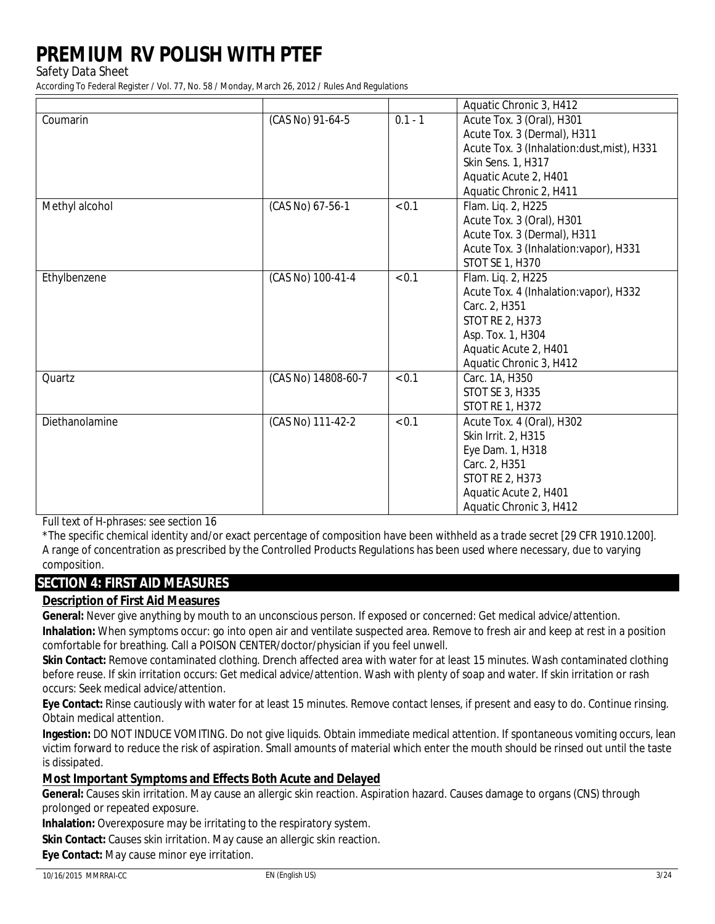**Safety Data Sheet** 

According To Federal Register / Vol. 77, No. 58 / Monday, March 26, 2012 / Rules And Regulations

|                       |                     |           | <b>Aquatic Chronic 3, H412</b>             |
|-----------------------|---------------------|-----------|--------------------------------------------|
| Coumarin              | (CAS No) 91-64-5    | $0.1 - 1$ | Acute Tox. 3 (Oral), H301                  |
|                       |                     |           | Acute Tox. 3 (Dermal), H311                |
|                       |                     |           | Acute Tox. 3 (Inhalation:dust, mist), H331 |
|                       |                     |           | <b>Skin Sens. 1, H317</b>                  |
|                       |                     |           | <b>Aquatic Acute 2, H401</b>               |
|                       |                     |           | <b>Aquatic Chronic 2, H411</b>             |
| <b>Methyl alcohol</b> | (CAS No) 67-56-1    | < 0.1     | Flam. Liq. 2, H225                         |
|                       |                     |           | Acute Tox. 3 (Oral), H301                  |
|                       |                     |           | Acute Tox. 3 (Dermal), H311                |
|                       |                     |           | Acute Tox. 3 (Inhalation: vapor), H331     |
|                       |                     |           | <b>STOT SE 1, H370</b>                     |
| <b>Ethylbenzene</b>   | (CAS No) 100-41-4   | < 0.1     | Flam. Liq. 2, H225                         |
|                       |                     |           | Acute Tox. 4 (Inhalation: vapor), H332     |
|                       |                     |           | Carc. 2, H351                              |
|                       |                     |           | <b>STOT RE 2, H373</b>                     |
|                       |                     |           | Asp. Tox. 1, H304                          |
|                       |                     |           | <b>Aquatic Acute 2, H401</b>               |
|                       |                     |           | <b>Aquatic Chronic 3, H412</b>             |
| Quartz                | (CAS No) 14808-60-7 | < 0.1     | Carc. 1A, H350                             |
|                       |                     |           | <b>STOT SE 3, H335</b>                     |
|                       |                     |           | <b>STOT RE 1, H372</b>                     |
| <b>Diethanolamine</b> | (CAS No) 111-42-2   | < 0.1     | Acute Tox. 4 (Oral), H302                  |
|                       |                     |           | <b>Skin Irrit. 2, H315</b>                 |
|                       |                     |           | Eye Dam. 1, H318                           |
|                       |                     |           | Carc. 2, H351                              |
|                       |                     |           | <b>STOT RE 2, H373</b>                     |
|                       |                     |           | <b>Aquatic Acute 2, H401</b>               |
|                       |                     |           | <b>Aquatic Chronic 3, H412</b>             |

**Full text of H-phrases: see section 16** 

\*The specific chemical identity and/or exact percentage of composition have been withheld as a trade secret [29 CFR 1910.1200]. A range of concentration as prescribed by the Controlled Products Regulations has been used where necessary, due to varying composition.

### **SECTION 4: FIRST AID MEASURES**

### **Description of First Aid Measures**

General: Never give anything by mouth to an unconscious person. If exposed or concerned: Get medical advice/attention.

Inhalation: When symptoms occur: go into open air and ventilate suspected area. Remove to fresh air and keep at rest in a position comfortable for breathing. Call a POISON CENTER/doctor/physician if you feel unwell.

Skin Contact: Remove contaminated clothing. Drench affected area with water for at least 15 minutes. Wash contaminated clothing before reuse. If skin irritation occurs: Get medical advice/attention. Wash with plenty of soap and water. If skin irritation or rash occurs: Seek medical advice/attention.

Eye Contact: Rinse cautiously with water for at least 15 minutes. Remove contact lenses, if present and easy to do. Continue rinsing. Obtain medical attention.

Ingestion: DO NOT INDUCE VOMITING. Do not give liquids. Obtain immediate medical attention. If spontaneous vomiting occurs, lean victim forward to reduce the risk of aspiration. Small amounts of material which enter the mouth should be rinsed out until the taste is dissipated.

### **Most Important Symptoms and Effects Both Acute and Delayed**

General: Causes skin irritation. May cause an allergic skin reaction. Aspiration hazard. Causes damage to organs (CNS) through prolonged or repeated exposure.

**Inhalation:** Overexposure may be irritating to the respiratory system.

Skin Contact: Causes skin irritation. May cause an allergic skin reaction.

Eye Contact: May cause minor eye irritation.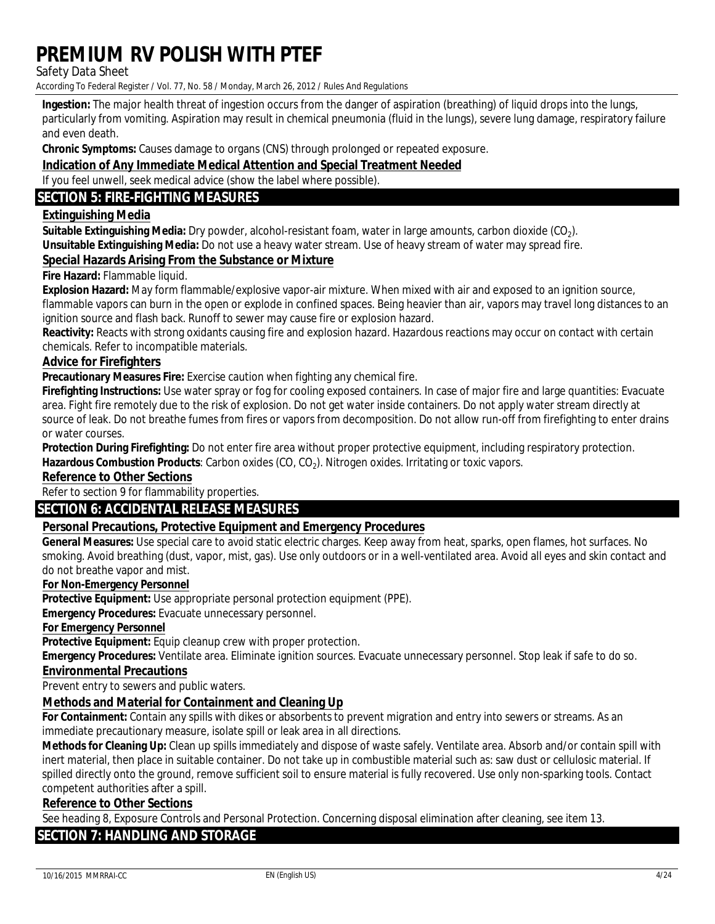**Safety Data Sheet** 

According To Federal Register / Vol. 77, No. 58 / Monday, March 26, 2012 / Rules And Regulations

Ingestion: The major health threat of ingestion occurs from the danger of aspiration (breathing) of liquid drops into the lungs. particularly from vomiting. Aspiration may result in chemical pneumonia (fluid in the lungs), severe lung damage, respiratory failure and even death.

**Chronic Symptoms:** Causes damage to organs (CNS) through prolonged or repeated exposure.

### **Indication of Any Immediate Medical Attention and Special Treatment Needed**

If you feel unwell, seek medical advice (show the label where possible).

### **SECTION 5: FIRE-FIGHTING MEASURES**

#### **Extinguishing Media**

**Suitable Extinguishing Media:** Dry powder, alcohol-resistant foam, water in large amounts, carbon dioxide (CO<sub>2</sub>). Unsuitable Extinguishing Media: Do not use a heavy water stream. Use of heavy stream of water may spread fire.

#### **Special Hazards Arising From the Substance or Mixture**

#### Fire Hazard: Flammable liquid.

**Explosion Hazard:** May form flammable/explosive vapor-air mixture. When mixed with air and exposed to an ignition source, flammable vapors can burn in the open or explode in confined spaces. Being heavier than air, vapors may travel long distances to an ignition source and flash back. Runoff to sewer may cause fire or explosion hazard.

Reactivity: Reacts with strong oxidants causing fire and explosion hazard. Hazardous reactions may occur on contact with certain chemicals. Refer to incompatible materials.

#### **Advice for Firefighters**

Precautionary Measures Fire: Exercise caution when fighting any chemical fire.

Firefighting Instructions: Use water spray or fog for cooling exposed containers. In case of major fire and large quantities: Evacuate area. Fight fire remotely due to the risk of explosion. Do not get water inside containers. Do not apply water stream directly at source of leak. Do not breathe fumes from fires or vapors from decomposition. Do not allow run-off from firefighting to enter drains or water courses.

Protection During Firefighting: Do not enter fire area without proper protective equipment, including respiratory protection. Hazardous Combustion Products: Carbon oxides (CO, CO<sub>2</sub>). Nitrogen oxides. Irritating or toxic vapors.

#### **Reference to Other Sections**

Refer to section 9 for flammability properties.

### **SECTION 6: ACCIDENTAL RELEASE MEASURES**

### **Personal Precautions, Protective Equipment and Emergency Procedures**

General Measures: Use special care to avoid static electric charges. Keep away from heat, sparks, open flames, hot surfaces. No smoking. Avoid breathing (dust, vapor, mist, gas). Use only outdoors or in a well-ventilated area. Avoid all eves and skin contact and do not breathe vapor and mist.

#### **For Non-Emergency Personnel**

Protective Equipment: Use appropriate personal protection equipment (PPE).

**Emergency Procedures:** Evacuate unnecessary personnel.

**For Emergency Personnel** 

Protective Equipment: Equip cleanup crew with proper protection.

**Emergency Procedures:** Ventilate area. Eliminate ignition sources. Evacuate unnecessary personnel. Stop leak if safe to do so.

#### **Environmental Precautions**

Prevent entry to sewers and public waters.

### **Methods and Material for Containment and Cleaning Up**

For Containment: Contain any spills with dikes or absorbents to prevent migration and entry into sewers or streams. As an immediate precautionary measure, isolate spill or leak area in all directions.

Methods for Cleaning Up: Clean up spills immediately and dispose of waste safely. Ventilate area. Absorb and/or contain spill with inert material, then place in suitable container. Do not take up in combustible material such as: saw dust or cellulosic material. If spilled directly onto the ground, remove sufficient soil to ensure material is fully recovered. Use only non-sparking tools. Contact competent authorities after a spill.

### **Reference to Other Sections**

See heading 8, Exposure Controls and Personal Protection. Concerning disposal elimination after cleaning, see item 13.

#### **SECTION 7: HANDLING AND STORAGE**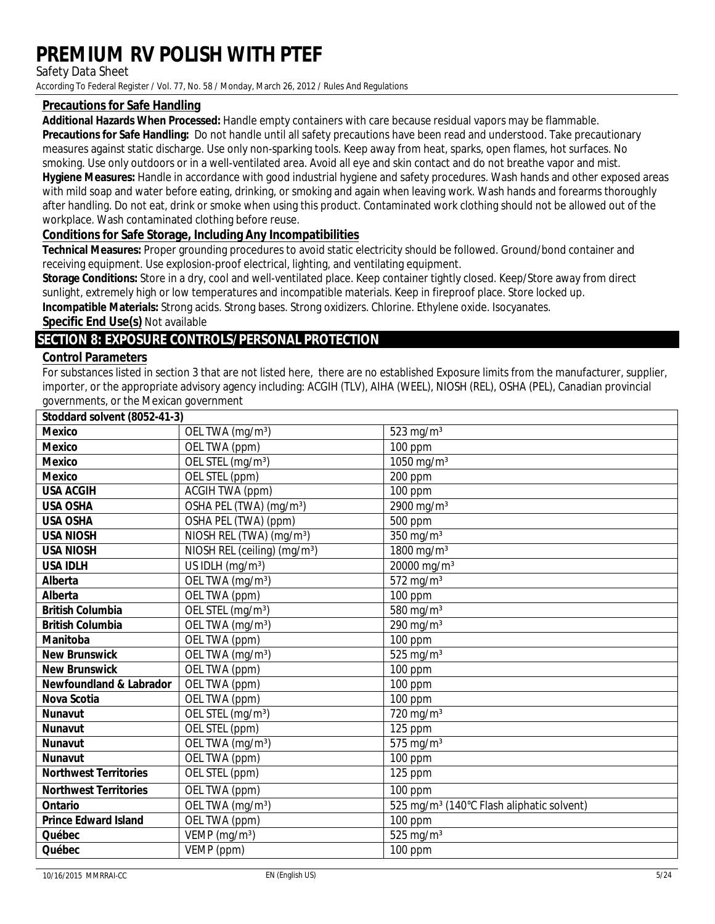**Safety Data Sheet** 

According To Federal Register / Vol. 77, No. 58 / Monday, March 26, 2012 / Rules And Regulations

### **Precautions for Safe Handling**

Additional Hazards When Processed: Handle empty containers with care because residual vapors may be flammable.

Precautions for Safe Handling: Do not handle until all safety precautions have been read and understood. Take precautionary measures against static discharge. Use only non-sparking tools. Keep away from heat, sparks, open flames, hot surfaces. No smoking. Use only outdoors or in a well-ventilated area. Avoid all eve and skin contact and do not breathe vapor and mist. Hygiene Measures: Handle in accordance with good industrial hygiene and safety procedures. Wash hands and other exposed areas with mild soap and water before eating, drinking, or smoking and again when leaving work. Wash hands and forearms thoroughly after handling. Do not eat, drink or smoke when using this product. Contaminated work clothing should not be allowed out of the workplace. Wash contaminated clothing before reuse.

### **Conditions for Safe Storage, Including Any Incompatibilities**

Technical Measures: Proper grounding procedures to avoid static electricity should be followed. Ground/bond container and receiving equipment. Use explosion-proof electrical, lighting, and ventilating equipment.

Storage Conditions: Store in a dry, cool and well-ventilated place. Keep container tightly closed. Keep/Store away from direct sunlight, extremely high or low temperatures and incompatible materials. Keep in fireproof place. Store locked up. Incompatible Materials: Strong acids. Strong bases. Strong oxidizers. Chlorine. Ethylene oxide. Isocyanates.

**Specific End Use(s) Not available** 

### **SECTION 8: EXPOSURE CONTROLS/PERSONAL PROTECTION**

### **Control Parameters**

For substances listed in section 3 that are not listed here, there are no established Exposure limits from the manufacturer, supplier, importer, or the appropriate advisory agency including: ACGIH (TLV), AIHA (WEEL), NIOSH (REL), OSHA (PEL), Canadian provincial governments, or the Mexican government

| Stoddard solvent (8052-41-3)       |                                          |                                                       |
|------------------------------------|------------------------------------------|-------------------------------------------------------|
| <b>Mexico</b>                      | OEL TWA (mg/m <sup>3</sup> )             | $523$ mg/m <sup>3</sup>                               |
| <b>Mexico</b>                      | OEL TWA (ppm)                            | <b>100 ppm</b>                                        |
| <b>Mexico</b>                      | OEL STEL (mg/m <sup>3</sup> )            | $1050$ mg/m <sup>3</sup>                              |
| <b>Mexico</b>                      | OEL STEL (ppm)                           | <b>200 ppm</b>                                        |
| <b>USA ACGIH</b>                   | <b>ACGIH TWA (ppm)</b>                   | <b>100 ppm</b>                                        |
| <b>USA OSHA</b>                    | OSHA PEL (TWA) (mg/m <sup>3</sup> )      | $2900$ mg/m <sup>3</sup>                              |
| <b>USA OSHA</b>                    | <b>OSHA PEL (TWA) (ppm)</b>              | <b>500 ppm</b>                                        |
| <b>USA NIOSH</b>                   | NIOSH REL (TWA) (mg/m <sup>3</sup> )     | $350~\mathrm{mg/m^3}$                                 |
| <b>USA NIOSH</b>                   | NIOSH REL (ceiling) (mg/m <sup>3</sup> ) | 1800 mg/m <sup>3</sup>                                |
| <b>USA IDLH</b>                    | US IDLH $(mg/m^3)$                       | 20000 mg/m <sup>3</sup>                               |
| <b>Alberta</b>                     | OEL TWA (mg/m <sup>3</sup> )             | $572$ mg/m <sup>3</sup>                               |
| <b>Alberta</b>                     | <b>OEL TWA</b> (ppm)                     | $\overline{100}$ ppm                                  |
| <b>British Columbia</b>            | OEL STEL (mg/m <sup>3</sup> )            | $580$ mg/m <sup>3</sup>                               |
| <b>British Columbia</b>            | OELTWA (mg/m <sup>3</sup> )              | $290$ mg/m <sup>3</sup>                               |
| <b>Manitoba</b>                    | <b>OEL TWA</b> (ppm)                     | <b>100 ppm</b>                                        |
| <b>New Brunswick</b>               | OEL TWA (mg/m <sup>3</sup> )             | $525$ mg/m <sup>3</sup>                               |
| <b>New Brunswick</b>               | <b>OEL TWA</b> (ppm)                     | <b>100 ppm</b>                                        |
| <b>Newfoundland &amp; Labrador</b> | <b>OEL TWA</b> (ppm)                     | <b>100 ppm</b>                                        |
| <b>Nova Scotia</b>                 | <b>OELTWA</b> (ppm)                      | <b>100 ppm</b>                                        |
| <b>Nunavut</b>                     | OEL STEL (mg/m <sup>3</sup> )            | $720$ mg/m <sup>3</sup>                               |
| <b>Nunavut</b>                     | OEL STEL (ppm)                           | $125$ ppm                                             |
| <b>Nunavut</b>                     | OEL TWA (mg/m <sup>3</sup> )             | $575$ mg/m <sup>3</sup>                               |
| <b>Nunavut</b>                     | <b>OEL TWA</b> (ppm)                     | $\overline{100}$ ppm                                  |
| <b>Northwest Territories</b>       | OEL STEL (ppm)                           | 125 ppm                                               |
| <b>Northwest Territories</b>       | <b>OEL TWA</b> (ppm)                     | $100$ ppm                                             |
| <b>Ontario</b>                     | OEL TWA (mg/m <sup>3</sup> )             | 525 mg/m <sup>3</sup> (140°C Flash aliphatic solvent) |
| <b>Prince Edward Island</b>        | <b>OEL TWA</b> (ppm)                     | <b>100 ppm</b>                                        |
| Québec                             | VEMP $(mg/m^3)$                          | $525$ mg/m <sup>3</sup>                               |
| Québec                             | <b>VEMP</b> (ppm)                        | <b>100 ppm</b>                                        |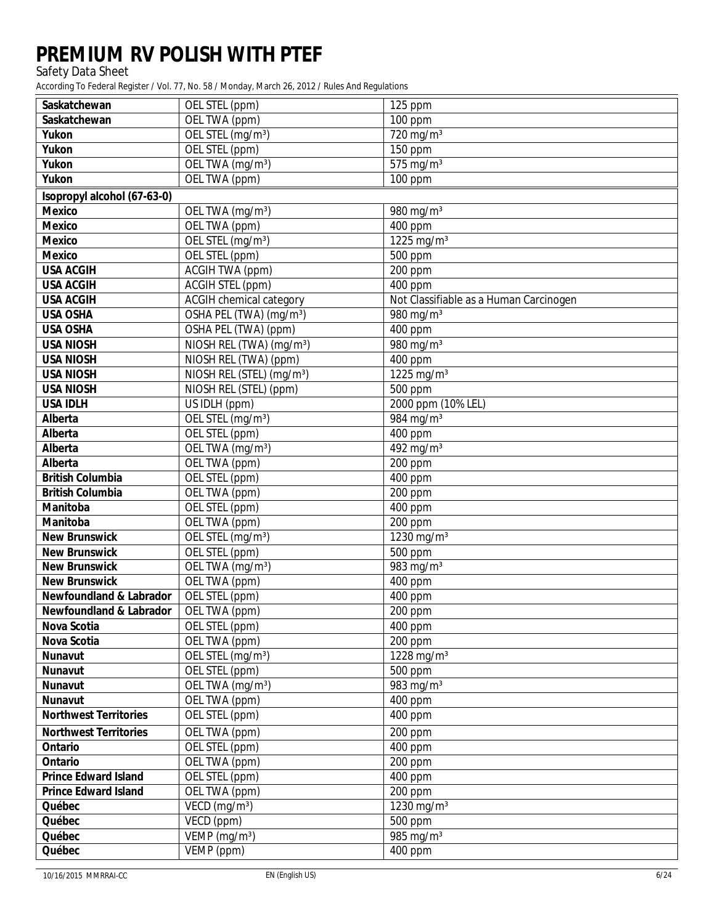Safety Data Sheet

| <b>Saskatchewan</b>                | OEL STEL (ppm)                        | 125 ppm                                |
|------------------------------------|---------------------------------------|----------------------------------------|
| <b>Saskatchewan</b>                | <b>OELTWA</b> (ppm)                   | <b>100 ppm</b>                         |
| <b>Yukon</b>                       | OEL STEL (mg/m <sup>3</sup> )         | $720$ mg/m <sup>3</sup>                |
| <b>Yukon</b>                       | <b>OEL STEL (ppm)</b>                 | <b>150 ppm</b>                         |
| <b>Yukon</b>                       | OEL TWA $(mg/m3)$                     | $575$ mg/m <sup>3</sup>                |
| <b>Yukon</b>                       | <b>OELTWA</b> (ppm)                   | <b>100 ppm</b>                         |
| <b>Kopropyl alcohol (67-63-0)</b>  |                                       |                                        |
| <b>Mexico</b>                      | OEL TWA (mg/m <sup>3</sup> )          | $980$ mg/m <sup>3</sup>                |
| <b>Mexico</b>                      | <b>OELTWA</b> (ppm)                   | <b>400 ppm</b>                         |
| <b>Mexico</b>                      | OEL STEL (mg/m <sup>3</sup> )         | 1225 mg/m <sup>3</sup>                 |
| <b>Mexico</b>                      | OEL STEL (ppm)                        | <b>500 ppm</b>                         |
| <b>USA ACGIH</b>                   | <b>ACGIH TWA (ppm)</b>                | <b>200 ppm</b>                         |
| <b>USA ACGIH</b>                   | <b>ACGIH STEL (ppm)</b>               | <b>400 ppm</b>                         |
| <b>USA ACGIH</b>                   | <b>ACGIH</b> chemical category        | Not Classifiable as a Human Carcinogen |
| <b>USA OSHA</b>                    | OSHA PEL (TWA) (mg/m <sup>3</sup> )   | $980$ mg/m <sup>3</sup>                |
| <b>USA OSHA</b>                    | <b>OSHA PEL (TWA) (ppm)</b>           | <b>400 ppm</b>                         |
| <b>USA NIOSH</b>                   | NIOSH REL (TWA) (mg/m <sup>3</sup> )  | $980$ mg/m <sup>3</sup>                |
| <b>USA NIOSH</b>                   | NIOSH REL (TWA) (ppm)                 | <b>400 ppm</b>                         |
| <b>USA NIOSH</b>                   | NIOSH REL (STEL) (mg/m <sup>3</sup> ) | $1225$ mg/m <sup>3</sup>               |
| <b>USA NIOSH</b>                   | NIOSH REL (STEL) (ppm)                | <b>500 ppm</b>                         |
| <b>USA IDLH</b>                    | <b>US IDLH</b> (ppm)                  | 2000 ppm (10% LEL)                     |
| <b>Alberta</b>                     | OEL STEL (mg/m <sup>3</sup> )         | $984$ mg/m <sup>3</sup>                |
| <b>Alberta</b>                     | OEL STEL (ppm)                        | <b>400 ppm</b>                         |
| <b>Alberta</b>                     | OEL TWA (mg/m <sup>3</sup> )          | $492$ mg/m <sup>3</sup>                |
| <b>Alberta</b>                     | OEL TWA (ppm)                         | $\overline{200}$ ppm                   |
| <b>British Columbia</b>            | OEL STEL (ppm)                        | <b>400 ppm</b>                         |
| <b>British Columbia</b>            | <b>OELTWA</b> (ppm)                   | $200$ ppm                              |
| <b>Manitoba</b>                    | OEL STEL (ppm)                        | <b>400 ppm</b>                         |
| <b>Manitoba</b>                    | OEL TWA (ppm)                         | <b>200 ppm</b>                         |
| <b>New Brunswick</b>               | OEL STEL (mg/m <sup>3</sup> )         | 1230 mg/m <sup>3</sup>                 |
| <b>New Brunswick</b>               | OEL STEL (ppm)                        | <b>500 ppm</b>                         |
| <b>New Brunswick</b>               | OEL TWA (mg/m <sup>3</sup> )          | $983$ mg/m <sup>3</sup>                |
| <b>New Brunswick</b>               | <b>OELTWA</b> (ppm)                   | <b>400 ppm</b>                         |
| <b>Newfoundland &amp; Labrador</b> | <b>OEL STEL (ppm)</b>                 | <b>400 ppm</b>                         |
| <b>Newfoundland &amp; Labrador</b> | OEL TWA (ppm)                         | <b>200 ppm</b>                         |
| Nova Scotia                        | OEL STEL (ppm)                        | <b>400 ppm</b>                         |
| <b>Nova Scotia</b>                 | OEL TWA (ppm)                         | <b>200 ppm</b>                         |
| <b>Nunavut</b>                     | OEL STEL (mg/m <sup>3</sup> )         | 1228 mg/m <sup>3</sup>                 |
| <b>Nunavut</b>                     | OEL STEL (ppm)                        | <b>500 ppm</b>                         |
| <b>Nunavut</b>                     | OEL TWA $(mg/m3)$                     | $983$ mg/m <sup>3</sup>                |
| <b>Nunavut</b>                     | OEL TWA (ppm)                         | <b>400 ppm</b>                         |
| <b>Northwest Territories</b>       | OEL STEL (ppm)                        | <b>400 ppm</b>                         |
| <b>Northwest Territories</b>       | OEL TWA (ppm)                         | <b>200 ppm</b>                         |
| <b>Ontario</b>                     | OEL STEL (ppm)                        | <b>400 ppm</b>                         |
| <b>Ontario</b>                     | OEL TWA (ppm)                         | <b>200 ppm</b>                         |
| <b>Prince Edward Island</b>        | OEL STEL (ppm)                        | <b>400 ppm</b>                         |
| <b>Prince Edward Island</b>        | OEL TWA (ppm)                         | <b>200 ppm</b>                         |
| Québec                             | VECD $(mg/m^3)$                       | 1230 mg/m <sup>3</sup>                 |
| Québec                             | VECD (ppm)                            | <b>500 ppm</b>                         |
| Québec                             | VEMP $(mg/m^3)$                       | $985$ mg/m <sup>3</sup>                |
| Québec                             | VEMP (ppm)                            | <b>400 ppm</b>                         |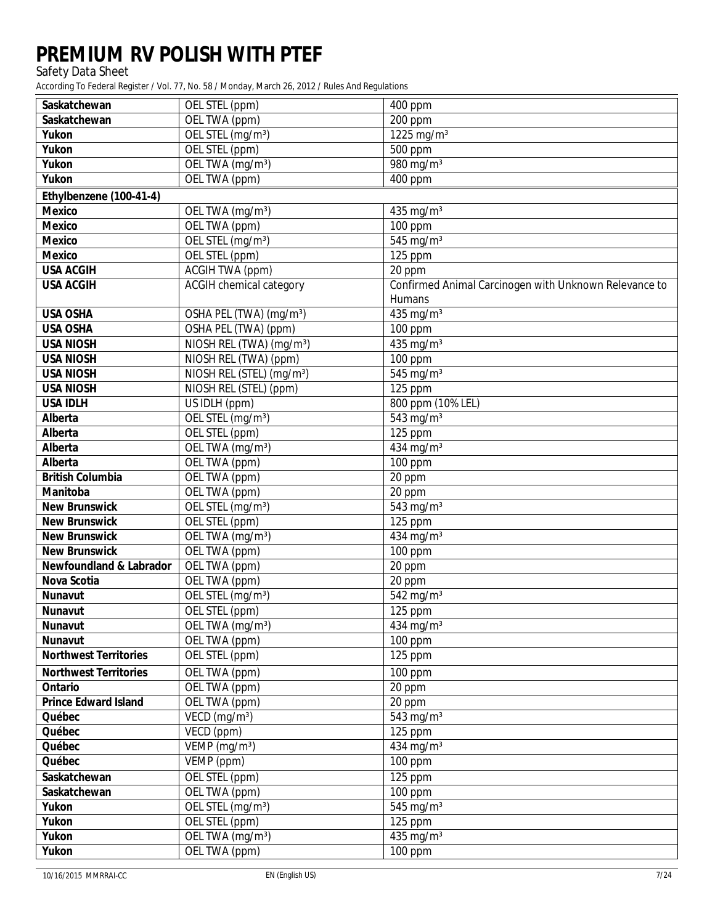Safety Data Sheet

| <b>OEL TWA</b> (ppm)<br><b>200 ppm</b><br><b>Saskatchewan</b><br><b>Yukon</b><br>OEL STEL (mg/m <sup>3</sup> )<br>1225 mg/m <sup>3</sup><br><b>Yukon</b><br><b>OEL STEL (ppm)</b><br><b>500 ppm</b><br><b>Yukon</b><br>OEL TWA (mg/m <sup>3</sup> )<br>$980$ mg/m <sup>3</sup><br><b>Yukon</b><br>OEL TWA (ppm)<br><b>400 ppm</b><br>Ethylbenzene (100-41-4)<br><b>Mexico</b><br>OEL TWA (mg/m <sup>3</sup> )<br>$435$ mg/m <sup>3</sup><br><b>Mexico</b><br><b>OEL TWA</b> (ppm)<br><b>100 ppm</b><br>OEL STEL (mg/m <sup>3</sup> )<br><b>Mexico</b><br>$545$ mg/m <sup>3</sup><br><b>Mexico</b><br><b>OEL STEL (ppm)</b><br><b>125 ppm</b><br><b>ACGIH TWA (ppm)</b><br><b>USA ACGIH</b><br><b>20 ppm</b><br><b>ACGIH</b> chemical category<br><b>Confirmed Animal Carcinogen with Unknown Relevance to</b><br><b>USA ACGIH</b><br><b>Humans</b><br><b>USA OSHA</b><br>$435$ mg/m <sup>3</sup><br>OSHA PEL (TWA) (mg/m <sup>3</sup> )<br><b>USA OSHA</b><br><b>OSHA PEL (TWA) (ppm)</b><br><b>100 ppm</b><br>NIOSH REL (TWA) (mg/m <sup>3</sup> )<br>$\frac{435 \text{ mg}}{\text{m}^3}$<br><b>USA NIOSH</b><br><b>NIOSH REL (TWA) (ppm)</b><br><b>USA NIOSH</b><br><b>100 ppm</b><br>NIOSH REL (STEL) (mg/m <sup>3</sup> )<br>$545$ mg/m <sup>3</sup><br><b>USA NIOSH</b><br>NIOSH REL (STEL) (ppm)<br><b>USA NIOSH</b><br>$\overline{125}$ ppm<br><b>USA IDLH</b><br><b>US IDLH</b> (ppm)<br>800 ppm (10% LEL)<br>OEL STEL (mg/m <sup>3</sup> )<br>$543$ mg/m <sup>3</sup><br><b>Alberta</b><br><b>Alberta</b><br>OEL STEL (ppm)<br>$125$ ppm<br>OEL TWA (mg/m <sup>3</sup> )<br>$434$ mg/m <sup>3</sup><br><b>Alberta</b><br><b>Alberta</b><br><b>OELTWA</b> (ppm)<br><b>100 ppm</b><br><b>British Columbia</b><br><b>OEL TWA</b> (ppm)<br>20 ppm<br><b>Manitoba</b><br><b>OEL TWA</b> (ppm)<br><b>20 ppm</b><br><b>New Brunswick</b><br>OEL STEL (mg/m <sup>3</sup> )<br>$543$ mg/m <sup>3</sup><br>OEL STEL (ppm)<br><b>New Brunswick</b><br>125 ppm<br><b>New Brunswick</b><br>$434$ mg/m <sup>3</sup><br>OEL TWA (mg/m <sup>3</sup> )<br><b>New Brunswick</b><br>OEL TWA (ppm)<br><b>100 ppm</b><br><b>Newfoundland &amp; Labrador</b><br><b>OELTWA</b> (ppm)<br>20 ppm<br><b>Nova Scotia</b><br><b>OELTWA</b> (ppm)<br><b>20 ppm</b><br>OEL STEL (mg/m <sup>3</sup> )<br>$542$ mg/m <sup>3</sup><br><b>Nunavut</b><br><b>Nunavut</b><br>OEL STEL (ppm)<br>$125$ ppm<br>OEL TWA (mg/m <sup>3</sup> )<br>$434$ mg/m <sup>3</sup><br><b>Nunavut</b><br><b>OEL TWA</b> (ppm)<br><b>100 ppm</b><br><b>Nunavut</b><br>OEL STEL (ppm)<br><b>Northwest Territories</b><br>125 ppm<br><b>Northwest Territories</b><br><b>OELTWA</b> (ppm)<br>$100$ ppm<br><b>Ontario</b><br><b>OEL TWA</b> (ppm)<br>20 ppm<br><b>Prince Edward Island</b><br>OEL TWA (ppm)<br>$20$ ppm<br>Québec<br>VECD $(mg/m^3)$<br>$543$ mg/m <sup>3</sup><br>Québec<br>VECD (ppm)<br>$125$ ppm<br>$434$ mg/m <sup>3</sup><br>VEMP $(mg/m^3)$<br>Québec<br>Québec<br>VEMP (ppm)<br><b>100 ppm</b><br><b>OEL STEL (ppm)</b><br><b>Saskatchewan</b><br>$125$ ppm<br><b>Saskatchewan</b><br><b>OELTWA</b> (ppm)<br><b>100 ppm</b><br><b>Yukon</b><br>OEL STEL (mg/m <sup>3</sup> )<br>$545$ mg/m <sup>3</sup><br><b>Yukon</b><br><b>OEL STEL (ppm)</b><br>125 ppm<br>$435 \text{ mg/m}^3$<br><b>Yukon</b><br>OEL TWA (mg/m <sup>3</sup> )<br><b>OELTWA</b> (ppm)<br><b>Yukon</b><br>$100$ ppm | <b>Saskatchewan</b> | <b>OEL STEL (ppm)</b> | <b>400 ppm</b> |
|-----------------------------------------------------------------------------------------------------------------------------------------------------------------------------------------------------------------------------------------------------------------------------------------------------------------------------------------------------------------------------------------------------------------------------------------------------------------------------------------------------------------------------------------------------------------------------------------------------------------------------------------------------------------------------------------------------------------------------------------------------------------------------------------------------------------------------------------------------------------------------------------------------------------------------------------------------------------------------------------------------------------------------------------------------------------------------------------------------------------------------------------------------------------------------------------------------------------------------------------------------------------------------------------------------------------------------------------------------------------------------------------------------------------------------------------------------------------------------------------------------------------------------------------------------------------------------------------------------------------------------------------------------------------------------------------------------------------------------------------------------------------------------------------------------------------------------------------------------------------------------------------------------------------------------------------------------------------------------------------------------------------------------------------------------------------------------------------------------------------------------------------------------------------------------------------------------------------------------------------------------------------------------------------------------------------------------------------------------------------------------------------------------------------------------------------------------------------------------------------------------------------------------------------------------------------------------------------------------------------------------------------------------------------------------------------------------------------------------------------------------------------------------------------------------------------------------------------------------------------------------------------------------------------------------------------------------------------------------------------------------------------------------------------------------------------------------------------------------------------------------------------------------------------------------------------------------------------------------------------------------------------------------------------------------------------------------------------------------------------|---------------------|-----------------------|----------------|
|                                                                                                                                                                                                                                                                                                                                                                                                                                                                                                                                                                                                                                                                                                                                                                                                                                                                                                                                                                                                                                                                                                                                                                                                                                                                                                                                                                                                                                                                                                                                                                                                                                                                                                                                                                                                                                                                                                                                                                                                                                                                                                                                                                                                                                                                                                                                                                                                                                                                                                                                                                                                                                                                                                                                                                                                                                                                                                                                                                                                                                                                                                                                                                                                                                                                                                                                                                 |                     |                       |                |
|                                                                                                                                                                                                                                                                                                                                                                                                                                                                                                                                                                                                                                                                                                                                                                                                                                                                                                                                                                                                                                                                                                                                                                                                                                                                                                                                                                                                                                                                                                                                                                                                                                                                                                                                                                                                                                                                                                                                                                                                                                                                                                                                                                                                                                                                                                                                                                                                                                                                                                                                                                                                                                                                                                                                                                                                                                                                                                                                                                                                                                                                                                                                                                                                                                                                                                                                                                 |                     |                       |                |
|                                                                                                                                                                                                                                                                                                                                                                                                                                                                                                                                                                                                                                                                                                                                                                                                                                                                                                                                                                                                                                                                                                                                                                                                                                                                                                                                                                                                                                                                                                                                                                                                                                                                                                                                                                                                                                                                                                                                                                                                                                                                                                                                                                                                                                                                                                                                                                                                                                                                                                                                                                                                                                                                                                                                                                                                                                                                                                                                                                                                                                                                                                                                                                                                                                                                                                                                                                 |                     |                       |                |
|                                                                                                                                                                                                                                                                                                                                                                                                                                                                                                                                                                                                                                                                                                                                                                                                                                                                                                                                                                                                                                                                                                                                                                                                                                                                                                                                                                                                                                                                                                                                                                                                                                                                                                                                                                                                                                                                                                                                                                                                                                                                                                                                                                                                                                                                                                                                                                                                                                                                                                                                                                                                                                                                                                                                                                                                                                                                                                                                                                                                                                                                                                                                                                                                                                                                                                                                                                 |                     |                       |                |
|                                                                                                                                                                                                                                                                                                                                                                                                                                                                                                                                                                                                                                                                                                                                                                                                                                                                                                                                                                                                                                                                                                                                                                                                                                                                                                                                                                                                                                                                                                                                                                                                                                                                                                                                                                                                                                                                                                                                                                                                                                                                                                                                                                                                                                                                                                                                                                                                                                                                                                                                                                                                                                                                                                                                                                                                                                                                                                                                                                                                                                                                                                                                                                                                                                                                                                                                                                 |                     |                       |                |
|                                                                                                                                                                                                                                                                                                                                                                                                                                                                                                                                                                                                                                                                                                                                                                                                                                                                                                                                                                                                                                                                                                                                                                                                                                                                                                                                                                                                                                                                                                                                                                                                                                                                                                                                                                                                                                                                                                                                                                                                                                                                                                                                                                                                                                                                                                                                                                                                                                                                                                                                                                                                                                                                                                                                                                                                                                                                                                                                                                                                                                                                                                                                                                                                                                                                                                                                                                 |                     |                       |                |
|                                                                                                                                                                                                                                                                                                                                                                                                                                                                                                                                                                                                                                                                                                                                                                                                                                                                                                                                                                                                                                                                                                                                                                                                                                                                                                                                                                                                                                                                                                                                                                                                                                                                                                                                                                                                                                                                                                                                                                                                                                                                                                                                                                                                                                                                                                                                                                                                                                                                                                                                                                                                                                                                                                                                                                                                                                                                                                                                                                                                                                                                                                                                                                                                                                                                                                                                                                 |                     |                       |                |
|                                                                                                                                                                                                                                                                                                                                                                                                                                                                                                                                                                                                                                                                                                                                                                                                                                                                                                                                                                                                                                                                                                                                                                                                                                                                                                                                                                                                                                                                                                                                                                                                                                                                                                                                                                                                                                                                                                                                                                                                                                                                                                                                                                                                                                                                                                                                                                                                                                                                                                                                                                                                                                                                                                                                                                                                                                                                                                                                                                                                                                                                                                                                                                                                                                                                                                                                                                 |                     |                       |                |
|                                                                                                                                                                                                                                                                                                                                                                                                                                                                                                                                                                                                                                                                                                                                                                                                                                                                                                                                                                                                                                                                                                                                                                                                                                                                                                                                                                                                                                                                                                                                                                                                                                                                                                                                                                                                                                                                                                                                                                                                                                                                                                                                                                                                                                                                                                                                                                                                                                                                                                                                                                                                                                                                                                                                                                                                                                                                                                                                                                                                                                                                                                                                                                                                                                                                                                                                                                 |                     |                       |                |
|                                                                                                                                                                                                                                                                                                                                                                                                                                                                                                                                                                                                                                                                                                                                                                                                                                                                                                                                                                                                                                                                                                                                                                                                                                                                                                                                                                                                                                                                                                                                                                                                                                                                                                                                                                                                                                                                                                                                                                                                                                                                                                                                                                                                                                                                                                                                                                                                                                                                                                                                                                                                                                                                                                                                                                                                                                                                                                                                                                                                                                                                                                                                                                                                                                                                                                                                                                 |                     |                       |                |
|                                                                                                                                                                                                                                                                                                                                                                                                                                                                                                                                                                                                                                                                                                                                                                                                                                                                                                                                                                                                                                                                                                                                                                                                                                                                                                                                                                                                                                                                                                                                                                                                                                                                                                                                                                                                                                                                                                                                                                                                                                                                                                                                                                                                                                                                                                                                                                                                                                                                                                                                                                                                                                                                                                                                                                                                                                                                                                                                                                                                                                                                                                                                                                                                                                                                                                                                                                 |                     |                       |                |
|                                                                                                                                                                                                                                                                                                                                                                                                                                                                                                                                                                                                                                                                                                                                                                                                                                                                                                                                                                                                                                                                                                                                                                                                                                                                                                                                                                                                                                                                                                                                                                                                                                                                                                                                                                                                                                                                                                                                                                                                                                                                                                                                                                                                                                                                                                                                                                                                                                                                                                                                                                                                                                                                                                                                                                                                                                                                                                                                                                                                                                                                                                                                                                                                                                                                                                                                                                 |                     |                       |                |
|                                                                                                                                                                                                                                                                                                                                                                                                                                                                                                                                                                                                                                                                                                                                                                                                                                                                                                                                                                                                                                                                                                                                                                                                                                                                                                                                                                                                                                                                                                                                                                                                                                                                                                                                                                                                                                                                                                                                                                                                                                                                                                                                                                                                                                                                                                                                                                                                                                                                                                                                                                                                                                                                                                                                                                                                                                                                                                                                                                                                                                                                                                                                                                                                                                                                                                                                                                 |                     |                       |                |
|                                                                                                                                                                                                                                                                                                                                                                                                                                                                                                                                                                                                                                                                                                                                                                                                                                                                                                                                                                                                                                                                                                                                                                                                                                                                                                                                                                                                                                                                                                                                                                                                                                                                                                                                                                                                                                                                                                                                                                                                                                                                                                                                                                                                                                                                                                                                                                                                                                                                                                                                                                                                                                                                                                                                                                                                                                                                                                                                                                                                                                                                                                                                                                                                                                                                                                                                                                 |                     |                       |                |
|                                                                                                                                                                                                                                                                                                                                                                                                                                                                                                                                                                                                                                                                                                                                                                                                                                                                                                                                                                                                                                                                                                                                                                                                                                                                                                                                                                                                                                                                                                                                                                                                                                                                                                                                                                                                                                                                                                                                                                                                                                                                                                                                                                                                                                                                                                                                                                                                                                                                                                                                                                                                                                                                                                                                                                                                                                                                                                                                                                                                                                                                                                                                                                                                                                                                                                                                                                 |                     |                       |                |
|                                                                                                                                                                                                                                                                                                                                                                                                                                                                                                                                                                                                                                                                                                                                                                                                                                                                                                                                                                                                                                                                                                                                                                                                                                                                                                                                                                                                                                                                                                                                                                                                                                                                                                                                                                                                                                                                                                                                                                                                                                                                                                                                                                                                                                                                                                                                                                                                                                                                                                                                                                                                                                                                                                                                                                                                                                                                                                                                                                                                                                                                                                                                                                                                                                                                                                                                                                 |                     |                       |                |
|                                                                                                                                                                                                                                                                                                                                                                                                                                                                                                                                                                                                                                                                                                                                                                                                                                                                                                                                                                                                                                                                                                                                                                                                                                                                                                                                                                                                                                                                                                                                                                                                                                                                                                                                                                                                                                                                                                                                                                                                                                                                                                                                                                                                                                                                                                                                                                                                                                                                                                                                                                                                                                                                                                                                                                                                                                                                                                                                                                                                                                                                                                                                                                                                                                                                                                                                                                 |                     |                       |                |
|                                                                                                                                                                                                                                                                                                                                                                                                                                                                                                                                                                                                                                                                                                                                                                                                                                                                                                                                                                                                                                                                                                                                                                                                                                                                                                                                                                                                                                                                                                                                                                                                                                                                                                                                                                                                                                                                                                                                                                                                                                                                                                                                                                                                                                                                                                                                                                                                                                                                                                                                                                                                                                                                                                                                                                                                                                                                                                                                                                                                                                                                                                                                                                                                                                                                                                                                                                 |                     |                       |                |
|                                                                                                                                                                                                                                                                                                                                                                                                                                                                                                                                                                                                                                                                                                                                                                                                                                                                                                                                                                                                                                                                                                                                                                                                                                                                                                                                                                                                                                                                                                                                                                                                                                                                                                                                                                                                                                                                                                                                                                                                                                                                                                                                                                                                                                                                                                                                                                                                                                                                                                                                                                                                                                                                                                                                                                                                                                                                                                                                                                                                                                                                                                                                                                                                                                                                                                                                                                 |                     |                       |                |
|                                                                                                                                                                                                                                                                                                                                                                                                                                                                                                                                                                                                                                                                                                                                                                                                                                                                                                                                                                                                                                                                                                                                                                                                                                                                                                                                                                                                                                                                                                                                                                                                                                                                                                                                                                                                                                                                                                                                                                                                                                                                                                                                                                                                                                                                                                                                                                                                                                                                                                                                                                                                                                                                                                                                                                                                                                                                                                                                                                                                                                                                                                                                                                                                                                                                                                                                                                 |                     |                       |                |
|                                                                                                                                                                                                                                                                                                                                                                                                                                                                                                                                                                                                                                                                                                                                                                                                                                                                                                                                                                                                                                                                                                                                                                                                                                                                                                                                                                                                                                                                                                                                                                                                                                                                                                                                                                                                                                                                                                                                                                                                                                                                                                                                                                                                                                                                                                                                                                                                                                                                                                                                                                                                                                                                                                                                                                                                                                                                                                                                                                                                                                                                                                                                                                                                                                                                                                                                                                 |                     |                       |                |
|                                                                                                                                                                                                                                                                                                                                                                                                                                                                                                                                                                                                                                                                                                                                                                                                                                                                                                                                                                                                                                                                                                                                                                                                                                                                                                                                                                                                                                                                                                                                                                                                                                                                                                                                                                                                                                                                                                                                                                                                                                                                                                                                                                                                                                                                                                                                                                                                                                                                                                                                                                                                                                                                                                                                                                                                                                                                                                                                                                                                                                                                                                                                                                                                                                                                                                                                                                 |                     |                       |                |
|                                                                                                                                                                                                                                                                                                                                                                                                                                                                                                                                                                                                                                                                                                                                                                                                                                                                                                                                                                                                                                                                                                                                                                                                                                                                                                                                                                                                                                                                                                                                                                                                                                                                                                                                                                                                                                                                                                                                                                                                                                                                                                                                                                                                                                                                                                                                                                                                                                                                                                                                                                                                                                                                                                                                                                                                                                                                                                                                                                                                                                                                                                                                                                                                                                                                                                                                                                 |                     |                       |                |
|                                                                                                                                                                                                                                                                                                                                                                                                                                                                                                                                                                                                                                                                                                                                                                                                                                                                                                                                                                                                                                                                                                                                                                                                                                                                                                                                                                                                                                                                                                                                                                                                                                                                                                                                                                                                                                                                                                                                                                                                                                                                                                                                                                                                                                                                                                                                                                                                                                                                                                                                                                                                                                                                                                                                                                                                                                                                                                                                                                                                                                                                                                                                                                                                                                                                                                                                                                 |                     |                       |                |
|                                                                                                                                                                                                                                                                                                                                                                                                                                                                                                                                                                                                                                                                                                                                                                                                                                                                                                                                                                                                                                                                                                                                                                                                                                                                                                                                                                                                                                                                                                                                                                                                                                                                                                                                                                                                                                                                                                                                                                                                                                                                                                                                                                                                                                                                                                                                                                                                                                                                                                                                                                                                                                                                                                                                                                                                                                                                                                                                                                                                                                                                                                                                                                                                                                                                                                                                                                 |                     |                       |                |
|                                                                                                                                                                                                                                                                                                                                                                                                                                                                                                                                                                                                                                                                                                                                                                                                                                                                                                                                                                                                                                                                                                                                                                                                                                                                                                                                                                                                                                                                                                                                                                                                                                                                                                                                                                                                                                                                                                                                                                                                                                                                                                                                                                                                                                                                                                                                                                                                                                                                                                                                                                                                                                                                                                                                                                                                                                                                                                                                                                                                                                                                                                                                                                                                                                                                                                                                                                 |                     |                       |                |
|                                                                                                                                                                                                                                                                                                                                                                                                                                                                                                                                                                                                                                                                                                                                                                                                                                                                                                                                                                                                                                                                                                                                                                                                                                                                                                                                                                                                                                                                                                                                                                                                                                                                                                                                                                                                                                                                                                                                                                                                                                                                                                                                                                                                                                                                                                                                                                                                                                                                                                                                                                                                                                                                                                                                                                                                                                                                                                                                                                                                                                                                                                                                                                                                                                                                                                                                                                 |                     |                       |                |
|                                                                                                                                                                                                                                                                                                                                                                                                                                                                                                                                                                                                                                                                                                                                                                                                                                                                                                                                                                                                                                                                                                                                                                                                                                                                                                                                                                                                                                                                                                                                                                                                                                                                                                                                                                                                                                                                                                                                                                                                                                                                                                                                                                                                                                                                                                                                                                                                                                                                                                                                                                                                                                                                                                                                                                                                                                                                                                                                                                                                                                                                                                                                                                                                                                                                                                                                                                 |                     |                       |                |
|                                                                                                                                                                                                                                                                                                                                                                                                                                                                                                                                                                                                                                                                                                                                                                                                                                                                                                                                                                                                                                                                                                                                                                                                                                                                                                                                                                                                                                                                                                                                                                                                                                                                                                                                                                                                                                                                                                                                                                                                                                                                                                                                                                                                                                                                                                                                                                                                                                                                                                                                                                                                                                                                                                                                                                                                                                                                                                                                                                                                                                                                                                                                                                                                                                                                                                                                                                 |                     |                       |                |
|                                                                                                                                                                                                                                                                                                                                                                                                                                                                                                                                                                                                                                                                                                                                                                                                                                                                                                                                                                                                                                                                                                                                                                                                                                                                                                                                                                                                                                                                                                                                                                                                                                                                                                                                                                                                                                                                                                                                                                                                                                                                                                                                                                                                                                                                                                                                                                                                                                                                                                                                                                                                                                                                                                                                                                                                                                                                                                                                                                                                                                                                                                                                                                                                                                                                                                                                                                 |                     |                       |                |
|                                                                                                                                                                                                                                                                                                                                                                                                                                                                                                                                                                                                                                                                                                                                                                                                                                                                                                                                                                                                                                                                                                                                                                                                                                                                                                                                                                                                                                                                                                                                                                                                                                                                                                                                                                                                                                                                                                                                                                                                                                                                                                                                                                                                                                                                                                                                                                                                                                                                                                                                                                                                                                                                                                                                                                                                                                                                                                                                                                                                                                                                                                                                                                                                                                                                                                                                                                 |                     |                       |                |
|                                                                                                                                                                                                                                                                                                                                                                                                                                                                                                                                                                                                                                                                                                                                                                                                                                                                                                                                                                                                                                                                                                                                                                                                                                                                                                                                                                                                                                                                                                                                                                                                                                                                                                                                                                                                                                                                                                                                                                                                                                                                                                                                                                                                                                                                                                                                                                                                                                                                                                                                                                                                                                                                                                                                                                                                                                                                                                                                                                                                                                                                                                                                                                                                                                                                                                                                                                 |                     |                       |                |
|                                                                                                                                                                                                                                                                                                                                                                                                                                                                                                                                                                                                                                                                                                                                                                                                                                                                                                                                                                                                                                                                                                                                                                                                                                                                                                                                                                                                                                                                                                                                                                                                                                                                                                                                                                                                                                                                                                                                                                                                                                                                                                                                                                                                                                                                                                                                                                                                                                                                                                                                                                                                                                                                                                                                                                                                                                                                                                                                                                                                                                                                                                                                                                                                                                                                                                                                                                 |                     |                       |                |
|                                                                                                                                                                                                                                                                                                                                                                                                                                                                                                                                                                                                                                                                                                                                                                                                                                                                                                                                                                                                                                                                                                                                                                                                                                                                                                                                                                                                                                                                                                                                                                                                                                                                                                                                                                                                                                                                                                                                                                                                                                                                                                                                                                                                                                                                                                                                                                                                                                                                                                                                                                                                                                                                                                                                                                                                                                                                                                                                                                                                                                                                                                                                                                                                                                                                                                                                                                 |                     |                       |                |
|                                                                                                                                                                                                                                                                                                                                                                                                                                                                                                                                                                                                                                                                                                                                                                                                                                                                                                                                                                                                                                                                                                                                                                                                                                                                                                                                                                                                                                                                                                                                                                                                                                                                                                                                                                                                                                                                                                                                                                                                                                                                                                                                                                                                                                                                                                                                                                                                                                                                                                                                                                                                                                                                                                                                                                                                                                                                                                                                                                                                                                                                                                                                                                                                                                                                                                                                                                 |                     |                       |                |
|                                                                                                                                                                                                                                                                                                                                                                                                                                                                                                                                                                                                                                                                                                                                                                                                                                                                                                                                                                                                                                                                                                                                                                                                                                                                                                                                                                                                                                                                                                                                                                                                                                                                                                                                                                                                                                                                                                                                                                                                                                                                                                                                                                                                                                                                                                                                                                                                                                                                                                                                                                                                                                                                                                                                                                                                                                                                                                                                                                                                                                                                                                                                                                                                                                                                                                                                                                 |                     |                       |                |
|                                                                                                                                                                                                                                                                                                                                                                                                                                                                                                                                                                                                                                                                                                                                                                                                                                                                                                                                                                                                                                                                                                                                                                                                                                                                                                                                                                                                                                                                                                                                                                                                                                                                                                                                                                                                                                                                                                                                                                                                                                                                                                                                                                                                                                                                                                                                                                                                                                                                                                                                                                                                                                                                                                                                                                                                                                                                                                                                                                                                                                                                                                                                                                                                                                                                                                                                                                 |                     |                       |                |
|                                                                                                                                                                                                                                                                                                                                                                                                                                                                                                                                                                                                                                                                                                                                                                                                                                                                                                                                                                                                                                                                                                                                                                                                                                                                                                                                                                                                                                                                                                                                                                                                                                                                                                                                                                                                                                                                                                                                                                                                                                                                                                                                                                                                                                                                                                                                                                                                                                                                                                                                                                                                                                                                                                                                                                                                                                                                                                                                                                                                                                                                                                                                                                                                                                                                                                                                                                 |                     |                       |                |
|                                                                                                                                                                                                                                                                                                                                                                                                                                                                                                                                                                                                                                                                                                                                                                                                                                                                                                                                                                                                                                                                                                                                                                                                                                                                                                                                                                                                                                                                                                                                                                                                                                                                                                                                                                                                                                                                                                                                                                                                                                                                                                                                                                                                                                                                                                                                                                                                                                                                                                                                                                                                                                                                                                                                                                                                                                                                                                                                                                                                                                                                                                                                                                                                                                                                                                                                                                 |                     |                       |                |
|                                                                                                                                                                                                                                                                                                                                                                                                                                                                                                                                                                                                                                                                                                                                                                                                                                                                                                                                                                                                                                                                                                                                                                                                                                                                                                                                                                                                                                                                                                                                                                                                                                                                                                                                                                                                                                                                                                                                                                                                                                                                                                                                                                                                                                                                                                                                                                                                                                                                                                                                                                                                                                                                                                                                                                                                                                                                                                                                                                                                                                                                                                                                                                                                                                                                                                                                                                 |                     |                       |                |
|                                                                                                                                                                                                                                                                                                                                                                                                                                                                                                                                                                                                                                                                                                                                                                                                                                                                                                                                                                                                                                                                                                                                                                                                                                                                                                                                                                                                                                                                                                                                                                                                                                                                                                                                                                                                                                                                                                                                                                                                                                                                                                                                                                                                                                                                                                                                                                                                                                                                                                                                                                                                                                                                                                                                                                                                                                                                                                                                                                                                                                                                                                                                                                                                                                                                                                                                                                 |                     |                       |                |
|                                                                                                                                                                                                                                                                                                                                                                                                                                                                                                                                                                                                                                                                                                                                                                                                                                                                                                                                                                                                                                                                                                                                                                                                                                                                                                                                                                                                                                                                                                                                                                                                                                                                                                                                                                                                                                                                                                                                                                                                                                                                                                                                                                                                                                                                                                                                                                                                                                                                                                                                                                                                                                                                                                                                                                                                                                                                                                                                                                                                                                                                                                                                                                                                                                                                                                                                                                 |                     |                       |                |
|                                                                                                                                                                                                                                                                                                                                                                                                                                                                                                                                                                                                                                                                                                                                                                                                                                                                                                                                                                                                                                                                                                                                                                                                                                                                                                                                                                                                                                                                                                                                                                                                                                                                                                                                                                                                                                                                                                                                                                                                                                                                                                                                                                                                                                                                                                                                                                                                                                                                                                                                                                                                                                                                                                                                                                                                                                                                                                                                                                                                                                                                                                                                                                                                                                                                                                                                                                 |                     |                       |                |
|                                                                                                                                                                                                                                                                                                                                                                                                                                                                                                                                                                                                                                                                                                                                                                                                                                                                                                                                                                                                                                                                                                                                                                                                                                                                                                                                                                                                                                                                                                                                                                                                                                                                                                                                                                                                                                                                                                                                                                                                                                                                                                                                                                                                                                                                                                                                                                                                                                                                                                                                                                                                                                                                                                                                                                                                                                                                                                                                                                                                                                                                                                                                                                                                                                                                                                                                                                 |                     |                       |                |
|                                                                                                                                                                                                                                                                                                                                                                                                                                                                                                                                                                                                                                                                                                                                                                                                                                                                                                                                                                                                                                                                                                                                                                                                                                                                                                                                                                                                                                                                                                                                                                                                                                                                                                                                                                                                                                                                                                                                                                                                                                                                                                                                                                                                                                                                                                                                                                                                                                                                                                                                                                                                                                                                                                                                                                                                                                                                                                                                                                                                                                                                                                                                                                                                                                                                                                                                                                 |                     |                       |                |
|                                                                                                                                                                                                                                                                                                                                                                                                                                                                                                                                                                                                                                                                                                                                                                                                                                                                                                                                                                                                                                                                                                                                                                                                                                                                                                                                                                                                                                                                                                                                                                                                                                                                                                                                                                                                                                                                                                                                                                                                                                                                                                                                                                                                                                                                                                                                                                                                                                                                                                                                                                                                                                                                                                                                                                                                                                                                                                                                                                                                                                                                                                                                                                                                                                                                                                                                                                 |                     |                       |                |
|                                                                                                                                                                                                                                                                                                                                                                                                                                                                                                                                                                                                                                                                                                                                                                                                                                                                                                                                                                                                                                                                                                                                                                                                                                                                                                                                                                                                                                                                                                                                                                                                                                                                                                                                                                                                                                                                                                                                                                                                                                                                                                                                                                                                                                                                                                                                                                                                                                                                                                                                                                                                                                                                                                                                                                                                                                                                                                                                                                                                                                                                                                                                                                                                                                                                                                                                                                 |                     |                       |                |
|                                                                                                                                                                                                                                                                                                                                                                                                                                                                                                                                                                                                                                                                                                                                                                                                                                                                                                                                                                                                                                                                                                                                                                                                                                                                                                                                                                                                                                                                                                                                                                                                                                                                                                                                                                                                                                                                                                                                                                                                                                                                                                                                                                                                                                                                                                                                                                                                                                                                                                                                                                                                                                                                                                                                                                                                                                                                                                                                                                                                                                                                                                                                                                                                                                                                                                                                                                 |                     |                       |                |
|                                                                                                                                                                                                                                                                                                                                                                                                                                                                                                                                                                                                                                                                                                                                                                                                                                                                                                                                                                                                                                                                                                                                                                                                                                                                                                                                                                                                                                                                                                                                                                                                                                                                                                                                                                                                                                                                                                                                                                                                                                                                                                                                                                                                                                                                                                                                                                                                                                                                                                                                                                                                                                                                                                                                                                                                                                                                                                                                                                                                                                                                                                                                                                                                                                                                                                                                                                 |                     |                       |                |
|                                                                                                                                                                                                                                                                                                                                                                                                                                                                                                                                                                                                                                                                                                                                                                                                                                                                                                                                                                                                                                                                                                                                                                                                                                                                                                                                                                                                                                                                                                                                                                                                                                                                                                                                                                                                                                                                                                                                                                                                                                                                                                                                                                                                                                                                                                                                                                                                                                                                                                                                                                                                                                                                                                                                                                                                                                                                                                                                                                                                                                                                                                                                                                                                                                                                                                                                                                 |                     |                       |                |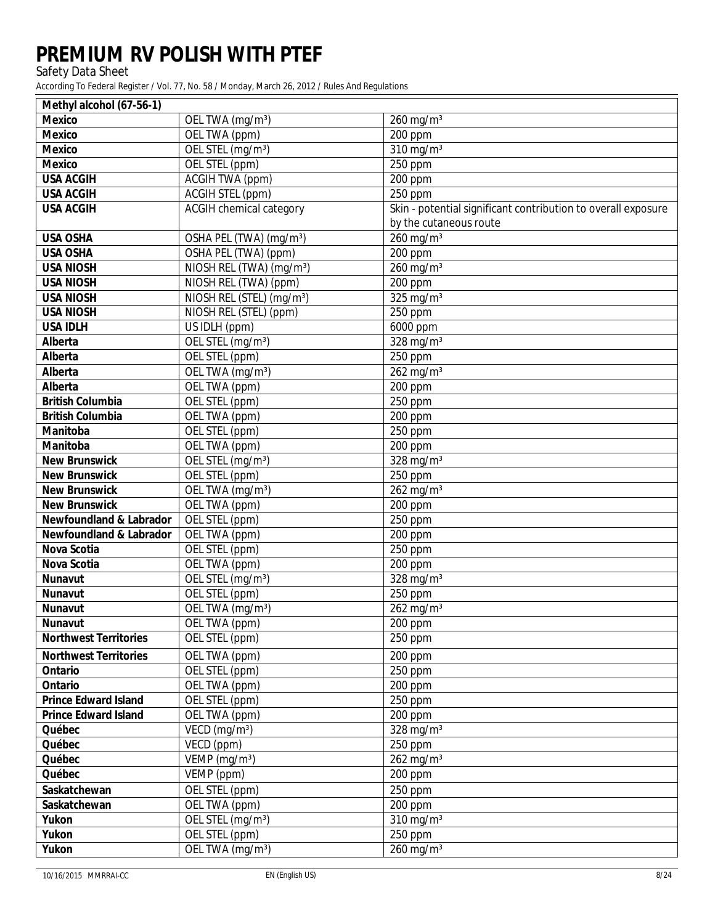Safety Data Sheet

| Methyl alcohol (67-56-1)           |                                       |                                                               |
|------------------------------------|---------------------------------------|---------------------------------------------------------------|
| <b>Mexico</b>                      | OEL TWA (mg/m <sup>3</sup> )          | $260$ mg/m <sup>3</sup>                                       |
| <b>Mexico</b>                      | OEL TWA (ppm)                         | <b>200 ppm</b>                                                |
| <b>Mexico</b>                      | OEL STEL (mg/m <sup>3</sup> )         | $310$ mg/m <sup>3</sup>                                       |
| <b>Mexico</b>                      | OEL STEL (ppm)                        | 250 ppm                                                       |
| <b>USA ACGIH</b>                   | <b>ACGIH TWA (ppm)</b>                | <b>200 ppm</b>                                                |
| <b>USA ACGIH</b>                   | <b>ACGIH STEL (ppm)</b>               | 250 ppm                                                       |
| <b>USA ACGIH</b>                   | <b>ACGIH</b> chemical category        | Skin - potential significant contribution to overall exposure |
|                                    |                                       | by the cutaneous route                                        |
| <b>USA OSHA</b>                    | OSHA PEL (TWA) (mg/m <sup>3</sup> )   | $260$ mg/m <sup>3</sup>                                       |
| <b>USA OSHA</b>                    | <b>OSHA PEL (TWA) (ppm)</b>           | <b>200 ppm</b>                                                |
| <b>USA NIOSH</b>                   | NIOSH REL (TWA) (mg/m <sup>3</sup> )  | $260$ mg/m <sup>3</sup>                                       |
| <b>USA NIOSH</b>                   | NIOSH REL (TWA) (ppm)                 | <b>200 ppm</b>                                                |
| <b>USA NIOSH</b>                   | NIOSH REL (STEL) (mg/m <sup>3</sup> ) | $325$ mg/m <sup>3</sup>                                       |
| <b>USA NIOSH</b>                   | NIOSH REL (STEL) (ppm)                | <b>250 ppm</b>                                                |
| <b>USA IDLH</b>                    | <b>US IDLH</b> (ppm)                  | 6000 ppm                                                      |
| <b>Alberta</b>                     | OEL STEL (mg/m <sup>3</sup> )         | $328$ mg/m <sup>3</sup>                                       |
| <b>Alberta</b>                     | <b>OEL STEL (ppm)</b>                 | <b>250 ppm</b>                                                |
| <b>Alberta</b>                     | OEL TWA (mg/m <sup>3</sup> )          | $262$ mg/m <sup>3</sup>                                       |
| <b>Alberta</b>                     | OEL TWA (ppm)                         | <b>200 ppm</b>                                                |
| <b>British Columbia</b>            | OEL STEL (ppm)                        | 250 ppm                                                       |
| <b>British Columbia</b>            | OEL TWA (ppm)                         | <b>200 ppm</b>                                                |
| <b>Manitoba</b>                    | OEL STEL (ppm)                        | 250 ppm                                                       |
| <b>Manitoba</b>                    | <b>OEL TWA</b> (ppm)                  | <b>200 ppm</b>                                                |
| <b>New Brunswick</b>               | OEL STEL (mg/m <sup>3</sup> )         | $328$ mg/m <sup>3</sup>                                       |
| <b>New Brunswick</b>               | OEL STEL (ppm)                        | <b>250 ppm</b>                                                |
| <b>New Brunswick</b>               | OEL TWA (mg/m <sup>3</sup> )          | $262$ mg/m <sup>3</sup>                                       |
| <b>New Brunswick</b>               | OEL TWA (ppm)                         | <b>200 ppm</b>                                                |
| <b>Newfoundland &amp; Labrador</b> | OEL STEL (ppm)                        | <b>250 ppm</b>                                                |
| <b>Newfoundland &amp; Labrador</b> | <b>OEL TWA</b> (ppm)                  | <b>200 ppm</b>                                                |
| <b>Nova Scotia</b>                 | OEL STEL (ppm)                        | <b>250 ppm</b>                                                |
| <b>Nova Scotia</b>                 | <b>OELTWA</b> (ppm)                   | <b>200 ppm</b>                                                |
| <b>Nunavut</b>                     | OEL STEL (mg/m <sup>3</sup> )         | $328 \text{ mg/m}^3$                                          |
| <b>Nunavut</b>                     | OEL STEL (ppm)                        | <b>250 ppm</b>                                                |
| <b>Nunavut</b>                     | OEL TWA (mg/m <sup>3</sup> )          | $262$ mg/m <sup>3</sup>                                       |
| <b>Nunavut</b>                     | OEL TWA (ppm)                         | 200 ppm                                                       |
| <b>Northwest Territories</b>       | <b>OEL STEL (ppm)</b>                 | <b>250 ppm</b>                                                |
| <b>Northwest Territories</b>       | OEL TWA (ppm)                         | 200 ppm                                                       |
| <b>Ontario</b>                     | OEL STEL (ppm)                        | 250 ppm                                                       |
| <b>Ontario</b>                     | OEL TWA (ppm)                         | <b>200 ppm</b>                                                |
| <b>Prince Edward Island</b>        | OEL STEL (ppm)                        | 250 ppm                                                       |
| <b>Prince Edward Island</b>        | OEL TWA (ppm)                         | <b>200 ppm</b>                                                |
| Québec                             | VECD $(mg/m^3)$                       | $328$ mg/m <sup>3</sup>                                       |
| Québec                             | VECD (ppm)                            | 250 ppm                                                       |
| Québec                             | VEMP $(mg/m^3)$                       | $262$ mg/m <sup>3</sup>                                       |
| Québec                             | VEMP (ppm)                            | <b>200 ppm</b>                                                |
| <b>Saskatchewan</b>                | OEL STEL (ppm)                        | 250 ppm                                                       |
| <b>Saskatchewan</b>                | OEL TWA (ppm)                         | <b>200 ppm</b>                                                |
| <b>Yukon</b>                       | OEL STEL (mg/m <sup>3</sup> )         | $310$ mg/m <sup>3</sup>                                       |
| <b>Yukon</b>                       | OEL STEL (ppm)                        | 250 ppm                                                       |
| <b>Yukon</b>                       | OEL TWA (mg/m <sup>3</sup> )          | $260$ mg/m <sup>3</sup>                                       |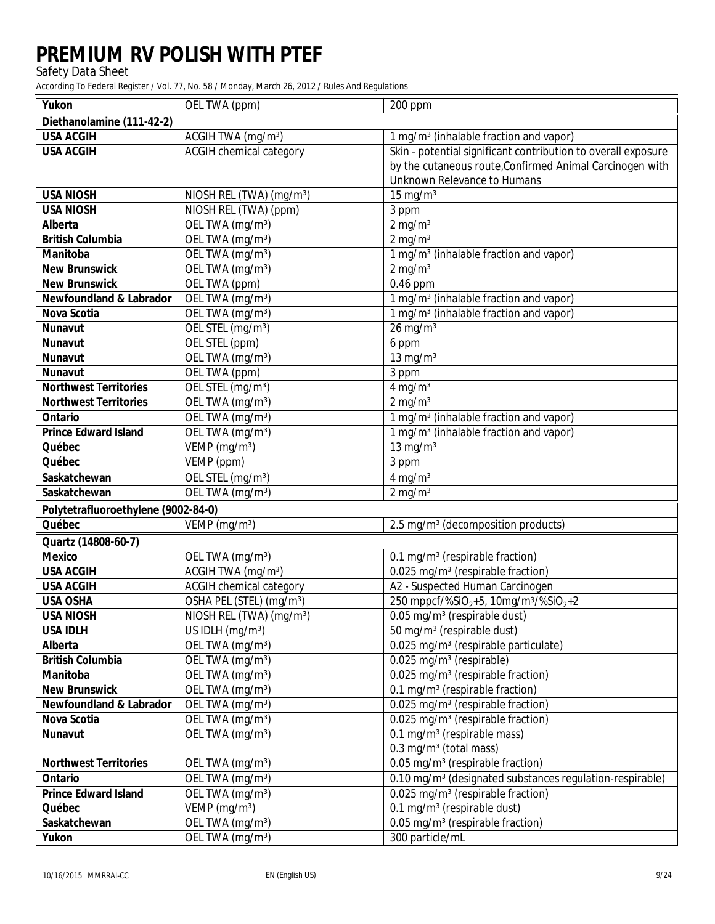Safety Data Sheet

| <b>Yukon</b>                        | OEL TWA (ppm)                                             | <b>200 ppm</b>                                                                                                         |
|-------------------------------------|-----------------------------------------------------------|------------------------------------------------------------------------------------------------------------------------|
| Diethanolamine (111-42-2)           |                                                           |                                                                                                                        |
| <b>USA ACGIH</b>                    | ACGIH TWA (mg/m <sup>3</sup> )                            | $1 \text{ mg/m}^3$ (inhalable fraction and vapor)                                                                      |
| <b>USA ACGIH</b>                    | <b>ACGIH</b> chemical category                            | Skin - potential significant contribution to overall exposure                                                          |
|                                     |                                                           | by the cutaneous route, Confirmed Animal Carcinogen with                                                               |
|                                     |                                                           | <b>Unknown Relevance to Humans</b>                                                                                     |
| <b>USA NIOSH</b>                    | NIOSH REL (TWA) $(mg/m3)$                                 | $15 \text{ mg/m}^3$                                                                                                    |
| <b>USA NIOSH</b>                    | NIOSH REL (TWA) (ppm)                                     | 3 ppm                                                                                                                  |
| <b>Alberta</b>                      | OEL TWA (mg/m <sup>3</sup> )                              | $2$ mg/m <sup>3</sup>                                                                                                  |
| <b>British Columbia</b>             | $\overline{\text{OEL}}$ TWA (mg/m <sup>3</sup> )          | $2$ mg/m <sup>3</sup>                                                                                                  |
| <b>Manitoba</b>                     | OEL TWA (mg/m <sup>3</sup> )                              | $1$ mg/m <sup>3</sup> (inhalable fraction and vapor)                                                                   |
| <b>New Brunswick</b>                | OEL TWA (mg/m <sup>3</sup> )                              | $2$ mg/m <sup>3</sup>                                                                                                  |
| <b>New Brunswick</b>                | OEL TWA (ppm)                                             | $0.46$ ppm                                                                                                             |
| <b>Newfoundland &amp; Labrador</b>  | OEL TWA (mg/m <sup>3</sup> )                              | $1$ mg/m <sup>3</sup> (inhalable fraction and vapor)                                                                   |
| <b>Nova Scotia</b>                  | OEL TWA (mg/m <sup>3</sup> )                              | $1$ mg/m <sup>3</sup> (inhalable fraction and vapor)                                                                   |
| <b>Nunavut</b>                      | OEL STEL (mg/m <sup>3</sup> )                             | $26$ mg/m <sup>3</sup>                                                                                                 |
| <b>Nunavut</b>                      | <b>OEL STEL (ppm)</b>                                     | 6 ppm                                                                                                                  |
| <b>Nunavut</b>                      | OEL TWA (mg/m <sup>3</sup> )                              | $13$ mg/m <sup>3</sup>                                                                                                 |
| <b>Nunavut</b>                      | <b>OEL TWA</b> (ppm)                                      | 3 ppm                                                                                                                  |
| <b>Northwest Territories</b>        | OEL STEL (mg/m <sup>3</sup> )                             | $4$ mg/m <sup>3</sup>                                                                                                  |
| <b>Northwest Territories</b>        | OEL TWA (mg/m <sup>3</sup> )                              | $2$ mg/m <sup>3</sup>                                                                                                  |
| <b>Ontario</b>                      | OEL TWA (mg/m <sup>3</sup> )                              | 1 mg/m <sup>3</sup> (inhalable fraction and vapor)                                                                     |
| <b>Prince Edward Island</b>         | OEL TWA (mg/m <sup>3</sup> )                              | $1$ mg/m <sup>3</sup> (inhalable fraction and vapor)                                                                   |
| Québec                              | VEMP $(mg/m^3)$                                           | $13$ mg/m <sup>3</sup>                                                                                                 |
| Québec                              | <b>VEMP</b> (ppm)                                         | 3 ppm                                                                                                                  |
| <b>Saskatchewan</b>                 | OEL STEL (mg/m <sup>3</sup> )                             | $4$ mg/m <sup>3</sup>                                                                                                  |
| <b>Saskatchewan</b>                 | OEL TWA (mg/m <sup>3</sup> )                              | $2$ mg/m <sup>3</sup>                                                                                                  |
| Polytetrafluoroethylene (9002-84-0) |                                                           |                                                                                                                        |
| Québec                              | VEMP $(mg/m^3)$                                           | $2.5 \text{ mg/m}^3$ (decomposition products)                                                                          |
| Quartz (14808-60-7)                 |                                                           |                                                                                                                        |
| <b>Mexico</b>                       | OEL TWA (mg/m <sup>3</sup> )                              | $0.1$ mg/m <sup>3</sup> (respirable fraction)                                                                          |
| <b>USA ACGIH</b>                    | <b>ACGIH TWA</b> (mg/m <sup>3</sup> )                     | $0.025$ mg/m <sup>3</sup> (respirable fraction)                                                                        |
| <b>USA ACGIH</b>                    | <b>ACGIH</b> chemical category                            | <b>A2 - Suspected Human Carcinogen</b>                                                                                 |
| <b>USA OSHA</b>                     | OSHA PEL (STEL) (mg/m <sup>3</sup> )                      | 250 mppcf/%SiO <sub>2</sub> +5, 10mg/m <sup>3/%SiO</sup> <sub>2</sub> +2                                               |
| <b>USA NIOSH</b>                    | NIOSH REL (TWA) (mg/m <sup>3</sup> )                      | $0.05$ mg/m <sup>3</sup> (respirable dust)                                                                             |
| <b>USA IDLH</b>                     | US IDLH $(mg/m^3)$                                        | $50$ mg/m <sup>3</sup> (respirable dust)                                                                               |
| <b>Alberta</b>                      | OEL TWA $(mg/m3)$                                         | $0.025$ mg/m <sup>3</sup> (respirable particulate)                                                                     |
| <b>British Columbia</b>             | OEL TWA $(mg/m3)$                                         | $0.025$ mg/m <sup>3</sup> (respirable)                                                                                 |
| <b>Manitoba</b>                     | OEL TWA (mg/m <sup>3</sup> )                              | $0.025$ mg/m <sup>3</sup> (respirable fraction)                                                                        |
| <b>New Brunswick</b>                | OEL TWA (mg/m <sup>3</sup> )                              | $0.1$ mg/m <sup>3</sup> (respirable fraction)                                                                          |
| <b>Newfoundland &amp; Labrador</b>  | OEL TWA (mg/m <sup>3</sup> )                              | $0.025$ mg/m <sup>3</sup> (respirable fraction)                                                                        |
| <b>Nova Scotia</b>                  | OEL TWA (mg/m <sup>3</sup> )                              | $0.025$ mg/m <sup>3</sup> (respirable fraction)                                                                        |
| <b>Nunavut</b>                      | OEL TWA (mg/m <sup>3</sup> )                              | $0.1$ mg/m <sup>3</sup> (respirable mass)<br>$0.3$ mg/m <sup>3</sup> (total mass)                                      |
| <b>Northwest Territories</b>        |                                                           |                                                                                                                        |
| <b>Ontario</b>                      | OEL TWA $(mg/m3)$<br>OEL TWA (mg/m <sup>3</sup> )         | $0.05$ mg/m <sup>3</sup> (respirable fraction)<br>0.10 mg/m <sup>3</sup> (designated substances regulation-respirable) |
| <b>Prince Edward Island</b>         |                                                           | $0.025$ mg/m <sup>3</sup> (respirable fraction)                                                                        |
| Québec                              | OEL TWA (mg/m <sup>3</sup> )<br>VEMP (mg/m <sup>3</sup> ) | $0.1$ mg/m <sup>3</sup> (respirable dust)                                                                              |
| <b>Saskatchewan</b>                 | OEL TWA (mg/m <sup>3</sup> )                              | $0.05$ mg/m <sup>3</sup> (respirable fraction)                                                                         |
| <b>Yukon</b>                        | OEL TWA (mg/m <sup>3</sup> )                              | 300 particle/mL                                                                                                        |
|                                     |                                                           |                                                                                                                        |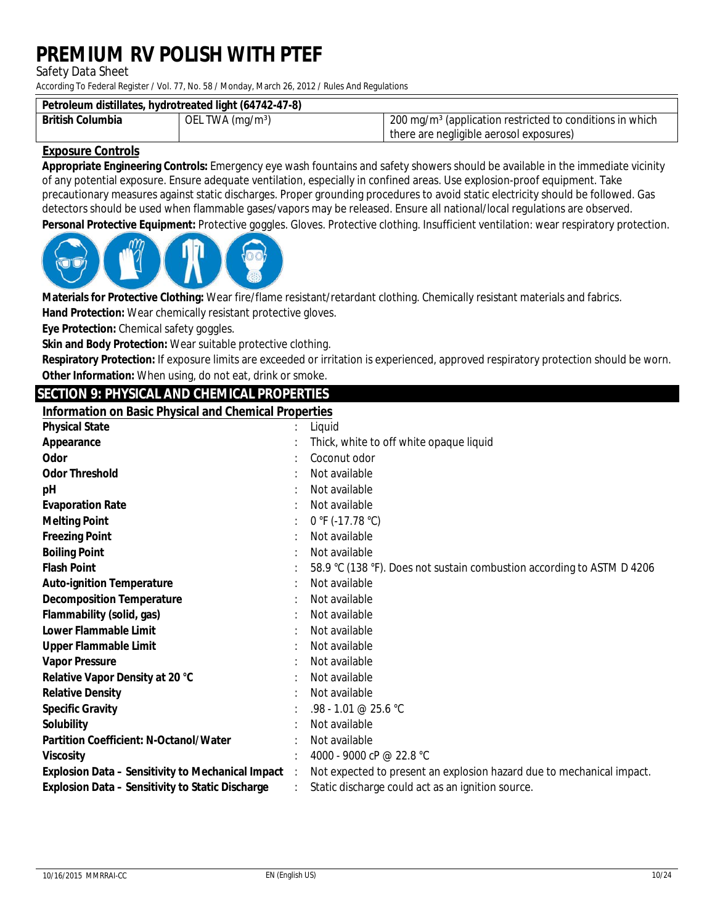**Safety Data Sheet** 

According To Federal Register / Vol. 77, No. 58 / Monday, March 26, 2012 / Rules And Regulations

| Petroleum distillates, hydrotreated light (64742-47-8) |                   |                                                                            |  |
|--------------------------------------------------------|-------------------|----------------------------------------------------------------------------|--|
| <b>British Columbia</b>                                | OEL TWA $(mg/m3)$ | $\pm$ 200 mg/m <sup>3</sup> (application restricted to conditions in which |  |
|                                                        |                   | there are negligible aerosol exposures)                                    |  |

### **Exposure Controls**

Appropriate Engineering Controls: Emergency eye wash fountains and safety showers should be available in the immediate vicinity of any potential exposure. Ensure adequate ventilation, especially in confined areas. Use explosion-proof equipment. Take precautionary measures against static discharges. Proper grounding procedures to avoid static electricity should be followed. Gas detectors should be used when flammable gases/vapors may be released. Ensure all national/local regulations are observed. Personal Protective Equipment: Protective goggles. Gloves. Protective clothing. Insufficient ventilation: wear respiratory protection.



Materials for Protective Clothing: Wear fire/flame resistant/retardant clothing. Chemically resistant materials and fabrics. **Hand Protection:** Wear chemically resistant protective gloves.

Eye Protection: Chemical safety goggles.

Skin and Body Protection: Wear suitable protective clothing.

Respiratory Protection: If exposure limits are exceeded or irritation is experienced, approved respiratory protection should be worn. Other Information: When using, do not eat, drink or smoke.

### **SECTION 9: PHYSICAL AND CHEMICAL PROPERTIES**

**Information on Basic Physical and Chemical Properties** 

| <b>Physical State</b>                                      | Liquid                                                                 |
|------------------------------------------------------------|------------------------------------------------------------------------|
| <b>Appearance</b>                                          | Thick, white to off white opaque liquid                                |
| <b>Odor</b>                                                | Coconut odor                                                           |
| <b>Odor Threshold</b>                                      | Not available                                                          |
| pH                                                         | Not available                                                          |
| <b>Evaporation Rate</b>                                    | Not available                                                          |
| <b>Melting Point</b>                                       | $0 °F (-17.78 °C)$                                                     |
| <b>Freezing Point</b>                                      | Not available                                                          |
| <b>Boiling Point</b>                                       | Not available                                                          |
| <b>Flash Point</b>                                         | 58.9 °C (138 °F). Does not sustain combustion according to ASTM D 4206 |
| <b>Auto-ignition Temperature</b>                           | Not available                                                          |
| <b>Decomposition Temperature</b>                           | Not available                                                          |
| <b>Flammability (solid, gas)</b>                           | Not available                                                          |
| <b>Lower Flammable Limit</b>                               | Not available                                                          |
| <b>Upper Flammable Limit</b>                               | Not available                                                          |
| <b>Vapor Pressure</b>                                      | Not available                                                          |
| <b>Relative Vapor Density at 20 °C</b>                     | Not available                                                          |
| <b>Relative Density</b>                                    | Not available                                                          |
| <b>Specific Gravity</b>                                    | .98 - 1.01 @ 25.6 °C                                                   |
| <b>Solubility</b>                                          | Not available                                                          |
| <b>Partition Coefficient: N-Octanol/Water</b>              | Not available                                                          |
| <b>Viscosity</b>                                           | 4000 - 9000 cP @ 22.8 °C                                               |
| <b>Explosion Data - Sensitivity to Mechanical Impact</b> : | Not expected to present an explosion hazard due to mechanical impact.  |
| <b>Explosion Data - Sensitivity to Static Discharge</b>    | Static discharge could act as an ignition source.                      |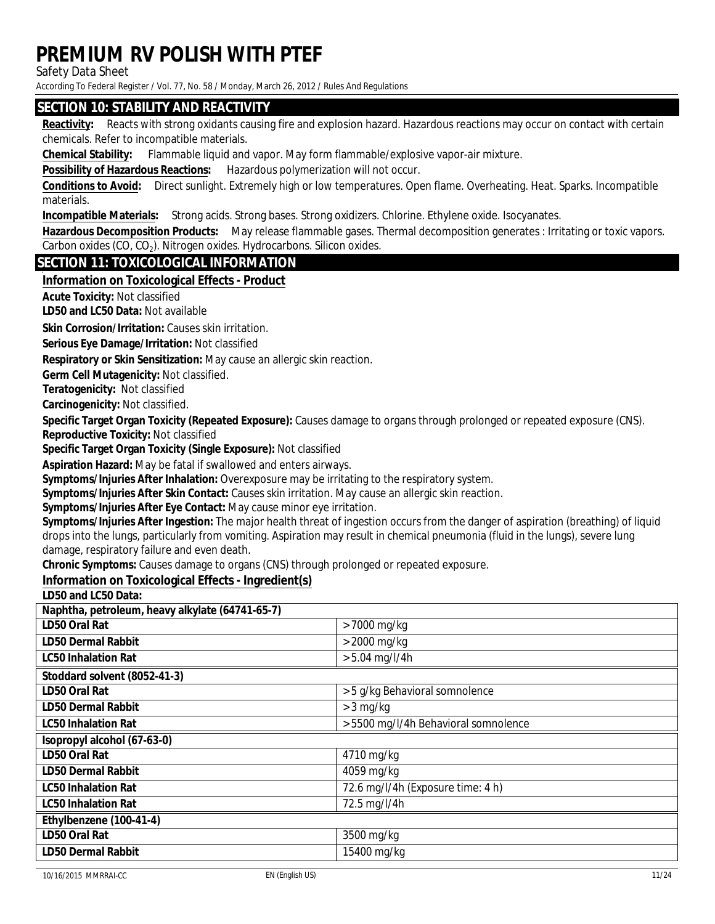**Safety Data Sheet** 

According To Federal Register / Vol. 77, No. 58 / Monday, March 26, 2012 / Rules And Regulations

### **SECTION 10: STABILITY AND REACTIVITY**

Reactivity: Reacts with strong oxidants causing fire and explosion hazard. Hazardous reactions may occur on contact with certain chemicals. Refer to incompatible materials.

**Chemical Stability:** Flammable liquid and vapor. May form flammable/explosive vapor-air mixture.

**Possibility of Hazardous Reactions:** Hazardous polymerization will not occur.

Conditions to Avoid: Direct sunlight. Extremely high or low temperatures. Open flame. Overheating. Heat. Sparks. Incompatible materials.

**Incompatible Materials:** Strong acids. Strong bases. Strong oxidizers. Chlorine. Ethylene oxide. Isocyanates.

Hazardous Decomposition Products: May release flammable gases. Thermal decomposition generates : Irritating or toxic vapors. Carbon oxides (CO, CO<sub>2</sub>). Nitrogen oxides. Hydrocarbons. Silicon oxides.

### **SECTION 11: TOXICOLOGICAL INFORMATION**

#### **Information on Toxicological Effects - Product**

**Acute Toxicity: Not classified** 

**ID50 and IC50 Data: Not available** 

Skin Corrosion/Irritation: Causes skin irritation.

**Serious Eve Damage/Irritation: Not classified** 

Respiratory or Skin Sensitization: May cause an allergic skin reaction.

**Germ Cell Mutagenicity: Not classified.** 

Teratogenicity: Not classified

Carcinogenicity: Not classified.

Specific Target Organ Toxicity (Repeated Exposure): Causes damage to organs through prolonged or repeated exposure (CNS).

**Reproductive Toxicity: Not classified** 

Specific Target Organ Toxicity (Single Exposure): Not classified

**Aspiration Hazard:** May be fatal if swallowed and enters airways.

Symptoms/Injuries After Inhalation: Overexposure may be irritating to the respiratory system.

Symptoms/Injuries After Skin Contact: Causes skin irritation. May cause an allergic skin reaction.

Symptoms/Injuries After Eye Contact: May cause minor eye irritation.

 $\overline{u}$   $\overline{u}$   $\overline{u}$   $\overline{u}$   $\overline{u}$   $\overline{u}$   $\overline{u}$ 

Symptoms/Injuries After Ingestion: The major health threat of ingestion occurs from the danger of aspiration (breathing) of liquid drops into the lungs, particularly from vomiting. Aspiration may result in chemical pneumonia (fluid in the lungs), severe lung damage, respiratory failure and even death.

Chronic Symptoms: Causes damage to organs (CNS) through prolonged or repeated exposure.

### Information on Toxicological Effects - Ingredient(s)

**ID50 and IC50 Data:** 

| Naphtha, petroleum, heavy alkylate (64741-65-7) |                                      |
|-------------------------------------------------|--------------------------------------|
| <b>ID50 Oral Rat</b>                            | $>7000$ mg/kg                        |
| <b>ID50 Dermal Rabbit</b>                       | $>$ 2000 mg/kg                       |
| <b>IC50 Inhalation Rat</b>                      | $> 5.04$ mg/l/4h                     |
| Stoddard solvent (8052-41-3)                    |                                      |
| <b>ID50 Oral Rat</b>                            | > 5 g/kg Behavioral somnolence       |
| <b>ID50 Dermal Rabbit</b>                       | $> 3$ mg/kg                          |
| <b>IC50 Inhalation Rat</b>                      | > 5500 mg/l/4h Behavioral somnolence |
| <b>Sopropyl alcohol (67-63-0)</b>               |                                      |
| <b>ID50 Oral Rat</b>                            | $4710$ mg/kg                         |
| <b>ID50 Dermal Rabbit</b>                       | $4059$ mg/kg                         |
| <b>IC50 Inhalation Rat</b>                      | 72.6 mg/l/4h (Exposure time: 4 h)    |
| <b>IC50 Inhalation Rat</b>                      | $72.5 \text{ mg/l/4h}$               |
| Ethylbenzene (100-41-4)                         |                                      |
| <b>ID50 Oral Rat</b>                            | 3500 mg/kg                           |
| <b>ID50 Dermal Rabbit</b>                       | 15400 mg/kg                          |
|                                                 |                                      |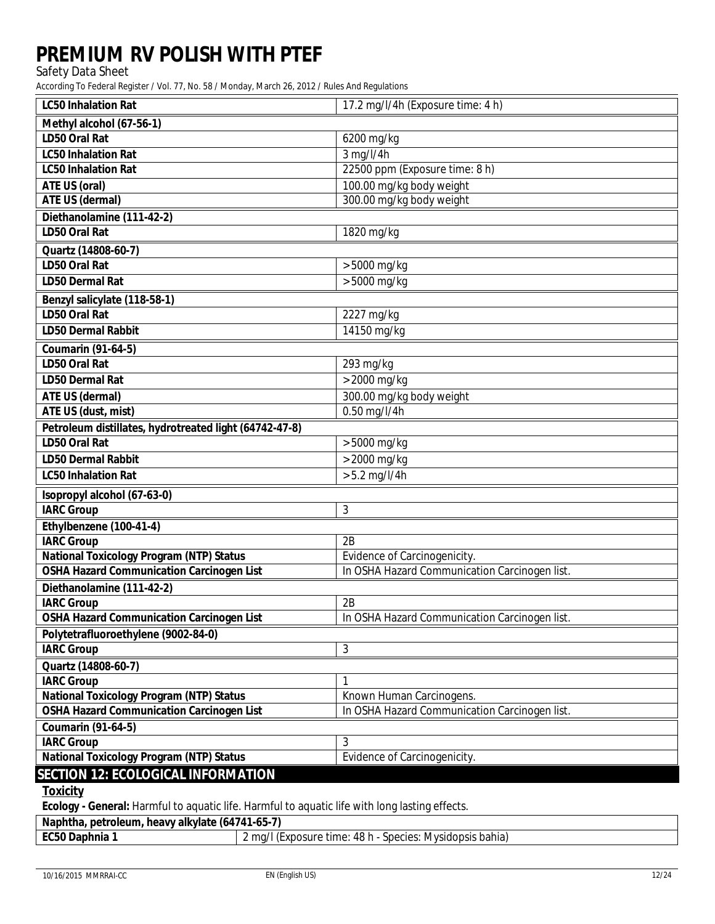**Safety Data Sheet** 

According To Federal Register / Vol. 77, No. 58 / Monday, March 26, 2012 / Rules And Regulations

| <b>IC50 Inhalation Rat</b>                                            | 17.2 mg/l/4h (Exposure time: 4 h)             |
|-----------------------------------------------------------------------|-----------------------------------------------|
| Methyl alcohol (67-56-1)                                              |                                               |
| <b>ID50 Oral Rat</b>                                                  | 6200 mg/kg                                    |
| <b>IC50</b> Inhalation Rat                                            | $3$ mg/l/4h                                   |
| <b>IC50 Inhalation Rat</b>                                            | 22500 ppm (Exposure time: 8 h)                |
| <b>ATE US (oral)</b>                                                  | 100.00 mg/kg body weight                      |
| <b>ATE US (dermal)</b>                                                | 300.00 mg/kg body weight                      |
| Diethanolamine (111-42-2)                                             |                                               |
| <b>ID50 Oral Rat</b>                                                  | 1820 mg/kg                                    |
| Quartz (14808-60-7)                                                   |                                               |
| <b>ID50 Oral Rat</b>                                                  | $> 5000$ mg/kg                                |
| <b>ID50 Dermal Rat</b>                                                | $>5000$ mg/kg                                 |
| <b>Benzyl salicylate (118-58-1)</b>                                   |                                               |
| <b>ID50 Oral Rat</b>                                                  | 2227 mg/kg                                    |
| <b>ID50 Dermal Rabbit</b>                                             | 14150 mg/kg                                   |
| <b>Coumarin (91-64-5)</b>                                             |                                               |
| <b>ID50 Oral Rat</b>                                                  | $293$ mg/kg                                   |
| <b>ID50 Dermal Rat</b>                                                | $>$ 2000 mg/kg                                |
| <b>ATE US (dermal)</b>                                                | 300.00 mg/kg body weight                      |
| <b>ATE US (dust, mist)</b>                                            | $0.50$ mg/l/4h                                |
| Petroleum distillates, hydrotreated light (64742-47-8)                |                                               |
| <b>ID50 Oral Rat</b>                                                  | $> 5000$ mg/kg                                |
| <b>ID50 Dermal Rabbit</b>                                             | $>$ 2000 mg/kg                                |
| <b>IC50 Inhalation Rat</b>                                            | $> 5.2$ mg/l/4h                               |
| <b>Kopropyl alcohol (67-63-0)</b>                                     |                                               |
| <b>IARC Group</b>                                                     | $\bf{3}$                                      |
| Ethylbenzene (100-41-4)                                               |                                               |
| <b>IARC Group</b>                                                     | 2B                                            |
| <b>National Toxicology Program (NTP) Status</b>                       | <b>Evidence of Carcinogenicity.</b>           |
| <b>OSHA Hazard Communication Carcinogen List</b>                      | In OSHA Hazard Communication Carcinogen list. |
| Diethanolamine (111-42-2)                                             |                                               |
| <b>IARC Group</b>                                                     | 2B                                            |
| <b>OSHA Hazard Communication Carcinogen List</b>                      | In OSHA Hazard Communication Carcinogen list. |
| Polytetrafluoroethylene (9002-84-0)                                   |                                               |
| <b>IARC Group</b>                                                     | $\boldsymbol{3}$                              |
| Quartz (14808-60-7)                                                   |                                               |
| <b>IARC Group</b>                                                     | $\mathbf{1}$                                  |
| <b>National Toxicology Program (NTP) Status</b>                       | <b>Known Human Carcinogens.</b>               |
| <b>OSHA Hazard Communication Carcinogen List</b>                      | In OSHA Hazard Communication Carcinogen list. |
| <b>Coumarin (91-64-5)</b>                                             |                                               |
| <b>IARC Group</b>                                                     | 3                                             |
| <b>National Toxicology Program (NTP) Status</b>                       | <b>Evidence of Carcinogenicity.</b>           |
| <b>SECTION 12: ECOLOGICAL INFORMATION</b>                             |                                               |
| <u>Toxicity</u><br>ful to concelle $\mathbf{E}$<br><b>II</b><br>.e.l. |                                               |

Ecology - General: Harmful to aquatic life. Harmful to aquatic life with long lasting effects.

| Naphtha, petroleum, heavy alkylate (64741-65-7) |                                                          |
|-------------------------------------------------|----------------------------------------------------------|
| <b>EC50 Daphnia 1</b>                           | 2 mg/l (Exposure time: 48 h - Species: Mysidopsis bahia) |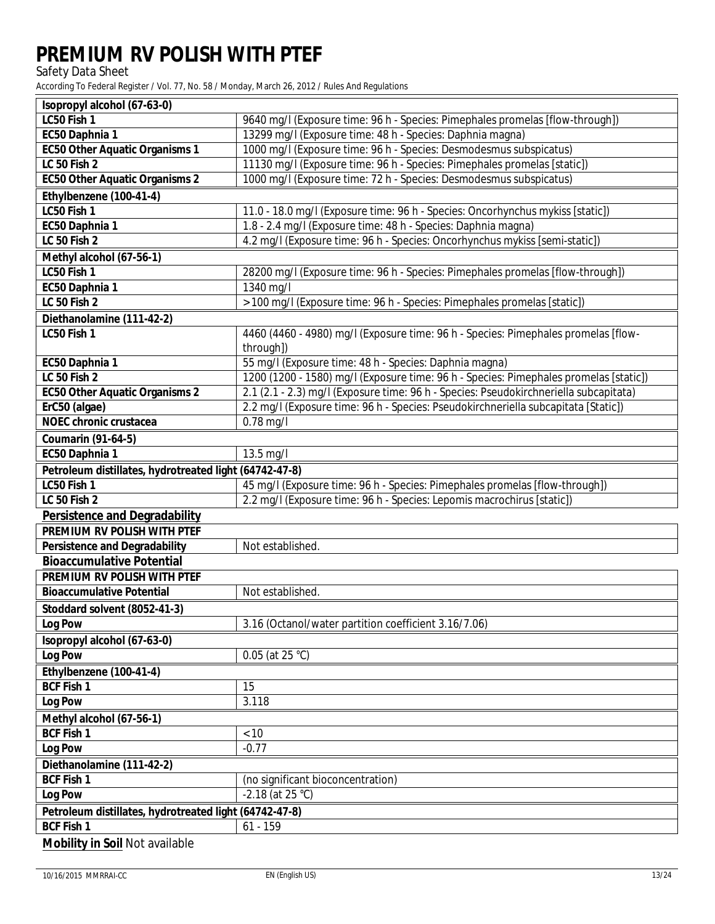Safety Data Sheet

| <b>Kopropyl alcohol (67-63-0)</b>                                                             |                                                                                       |  |
|-----------------------------------------------------------------------------------------------|---------------------------------------------------------------------------------------|--|
| LC50 Fish 1                                                                                   | 9640 mg/l (Exposure time: 96 h - Species: Pimephales promelas [flow-through])         |  |
| EC50 Daphnia 1                                                                                | 13299 mg/l (Exposure time: 48 h - Species: Daphnia magna)                             |  |
| <b>EC50 Other Aquatic Organisms 1</b>                                                         | 1000 mg/l (Exposure time: 96 h - Species: Desmodesmus subspicatus)                    |  |
| <b>IC 50 Fish 2</b>                                                                           | 11130 mg/l (Exposure time: 96 h - Species: Pimephales promelas [static])              |  |
| <b>EC50 Other Aquatic Organisms 2</b>                                                         | 1000 mg/l (Exposure time: 72 h - Species: Desmodesmus subspicatus)                    |  |
| Ethylbenzene (100-41-4)                                                                       |                                                                                       |  |
| <b>IC50 Fish 1</b>                                                                            | 11.0 - 18.0 mg/l (Exposure time: 96 h - Species: Oncorhynchus mykiss [static])        |  |
| EC50 Daphnia 1                                                                                | 1.8 - 2.4 mg/l (Exposure time: 48 h - Species: Daphnia magna)                         |  |
| $LC$ 50 Fish $2$                                                                              | 4.2 mg/l (Exposure time: 96 h - Species: Oncorhynchus mykiss [semi-static])           |  |
| Methyl alcohol (67-56-1)                                                                      |                                                                                       |  |
| LC50 Fish 1                                                                                   | 28200 mg/l (Exposure time: 96 h - Species: Pimephales promelas [flow-through])        |  |
| <b>EC50 Daphnia 1</b>                                                                         | 1340 mg/l                                                                             |  |
| <b>IC 50 Fish 2</b>                                                                           | > 100 mg/l (Exposure time: 96 h - Species: Pimephales promelas [static])              |  |
| Diethanolamine (111-42-2)                                                                     |                                                                                       |  |
| <b>IC50 Fish 1</b>                                                                            | 4460 (4460 - 4980) mg/l (Exposure time: 96 h - Species: Pimephales promelas [flow-    |  |
|                                                                                               | through])                                                                             |  |
| EC50 Daphnia 1                                                                                | 55 mg/l (Exposure time: 48 h - Species: Daphnia magna)                                |  |
| <b>IC</b> 50 Fish 2                                                                           | 1200 (1200 - 1580) mg/l (Exposure time: 96 h - Species: Pimephales promelas [static]) |  |
| <b>EC50 Other Aquatic Organisms 2</b>                                                         | 2.1 (2.1 - 2.3) mg/l (Exposure time: 96 h - Species: Pseudokirchneriella subcapitata) |  |
| ErC50 (algae)                                                                                 | 2.2 mg/l (Exposure time: 96 h - Species: Pseudokirchneriella subcapitata [Static])    |  |
| <b>NOEC</b> chronic crustacea<br>$0.78$ mg/l                                                  |                                                                                       |  |
| <b>Coumarin (91-64-5)</b>                                                                     |                                                                                       |  |
| <b>EC50 Daphnia 1</b>                                                                         | $13.5 \text{ mg/l}$                                                                   |  |
| Petroleum distillates, hydrotreated light (64742-47-8)                                        |                                                                                       |  |
| LC50 Fish 1                                                                                   | 45 mg/l (Exposure time: 96 h - Species: Pimephales promelas [flow-through])           |  |
| <b>IC 50 Fish 2</b><br>2.2 mg/l (Exposure time: 96 h - Species: Lepomis macrochirus [static]) |                                                                                       |  |
| <b>Persistence and Degradability</b>                                                          |                                                                                       |  |
| PREMIUM RV POLISH WITH PTEF                                                                   |                                                                                       |  |
| <b>Persistence and Degradability</b>                                                          | Not established.                                                                      |  |
| <b>Bioaccumulative Potential</b>                                                              |                                                                                       |  |
| <b>PREMIUM RV POLISH WITH PTEF</b>                                                            |                                                                                       |  |
| <b>Bioaccumulative Potential</b><br>Not established.                                          |                                                                                       |  |
| Stoddard solvent (8052-41-3)                                                                  |                                                                                       |  |
| <b>Log Pow</b>                                                                                | 3.16 (Octanol/water partition coefficient 3.16/7.06)                                  |  |
| <b>Isopropyl alcohol (67-63-0)</b>                                                            |                                                                                       |  |
| Log Pow<br>$0.05$ (at 25 °C)                                                                  |                                                                                       |  |
| Ethylbenzene (100-41-4)                                                                       |                                                                                       |  |
| <b>BCF</b> Fish 1                                                                             | 15                                                                                    |  |
| <b>Log Pow</b>                                                                                | 3.118                                                                                 |  |
| Methyl alcohol (67-56-1)                                                                      |                                                                                       |  |
| <b>BCF Fish 1</b><br>< 10                                                                     |                                                                                       |  |
| <b>Log Pow</b>                                                                                | $-0.77$                                                                               |  |
|                                                                                               |                                                                                       |  |
| Diethanolamine (111-42-2)<br><b>BCF Fish 1</b>                                                |                                                                                       |  |
|                                                                                               | (no significant bioconcentration)<br>$-2.18$ (at 25 °C)                               |  |
| <b>Log Pow</b>                                                                                |                                                                                       |  |
| Petroleum distillates, hydrotreated light (64742-47-8)<br><b>BCF Fish 1</b>                   |                                                                                       |  |
| $61 - 159$                                                                                    |                                                                                       |  |
| <b>Mobility in Soil Not available</b>                                                         |                                                                                       |  |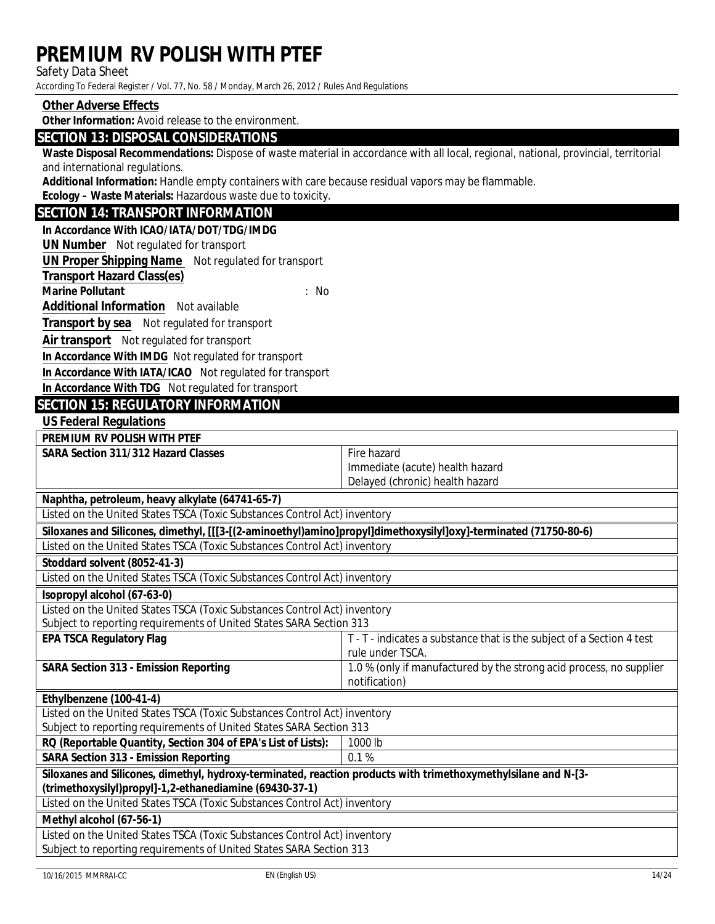#### **Safety Data Sheet**

According To Federal Register / Vol. 77, No. 58 / Monday, March 26, 2012 / Rules And Regulations

#### Other Adverse Effects

Other Information: Avoid release to the environment.

#### **SECTION 13: DISPOSAL CONSIDERATIONS**

Waste Disposal Recommendations: Dispose of waste material in accordance with all local, regional, national, provincial, territorial and international regulations.

Additional Information: Handle empty containers with care because residual vapors may be flammable.

Ecology - Waste Materials: Hazardous waste due to toxicity.

### **SECTION 14: TRANSPORT INFORMATION**

#### In Accordance With ICAO/IATA/DOT/TDG/IMDG

**UN Number** Not regulated for transport

**UN Proper Shipping Name** Not regulated for transport

- **Transport Hazard Class(es)**
- **Marine Pollutant**

 $: No$ 

**Additional Information** Not available

**Transport by sea** Not regulated for transport

Air transport Not regulated for transport

In Accordance With IMDG Not regulated for transport

In Accordance With IATA/ICAO Not regulated for transport

In Accordance With TDG Not regulated for transport

### **SECTION 15: REGUIATORY INFORMATION**

**US Federal Regulations** 

**PREMIUM RV POLISH WITH PTEF** 

**SARA Section 311/312 Hazard Classes** 

Fire hazard Immediate (acute) health hazard Delayed (chronic) health hazard

Naphtha, petroleum, heavy alkylate (64741-65-7)

Listed on the United States TSCA (Toxic Substances Control Act) inventory

| Siloxanes and Silicones, dimethyl, [[[3-[(2-aminoethyl)amino]propyl]dimethoxysilyl]oxy]-terminated (71750-80-6) |                                                                       |
|-----------------------------------------------------------------------------------------------------------------|-----------------------------------------------------------------------|
| Listed on the United States TSCA (Toxic Substances Control Act) inventory                                       |                                                                       |
| Stoddard solvent (8052-41-3)                                                                                    |                                                                       |
| Listed on the United States TSCA (Toxic Substances Control Act) inventory                                       |                                                                       |
| <b>Sopropyl alcohol (67-63-0)</b>                                                                               |                                                                       |
| Listed on the United States TSCA (Toxic Substances Control Act) inventory                                       |                                                                       |
| Subject to reporting requirements of United States SARA Section 313                                             |                                                                       |
| <b>EPA TSCA Regulatory Flag</b>                                                                                 | T - T - indicates a substance that is the subject of a Section 4 test |
|                                                                                                                 | rule under TSCA.                                                      |
| <b>SARA Section 313 - Emission Reporting</b>                                                                    | 1.0 % (only if manufactured by the strong acid process, no supplier   |
|                                                                                                                 | notification)                                                         |
| Ethylbenzene (100-41-4)                                                                                         |                                                                       |
| Listed on the United States TSCA (Toxic Substances Control Act) inventory                                       |                                                                       |
| Subject to reporting requirements of United States SARA Section 313                                             |                                                                       |
| RQ (Reportable Quantity, Section 304 of EPA's List of Lists):<br>1000 lb                                        |                                                                       |
| <b>SARA Section 313 - Emission Reporting</b>                                                                    | 0.1%                                                                  |
| Siloxanes and Silicones, dimethyl, hydroxy-terminated, reaction products with trimethoxymethylsilane and N-[3-  |                                                                       |
| (trimethoxysilyl)propyl]-1,2-ethanediamine (69430-37-1)                                                         |                                                                       |
| Listed on the United States TSCA (Toxic Substances Control Act) inventory                                       |                                                                       |
| Methyl alcohol (67-56-1)                                                                                        |                                                                       |
| Listed on the United States TSCA (Toxic Substances Control Act) inventory                                       |                                                                       |

**Subject to reporting requirements of United States SARA Section 313**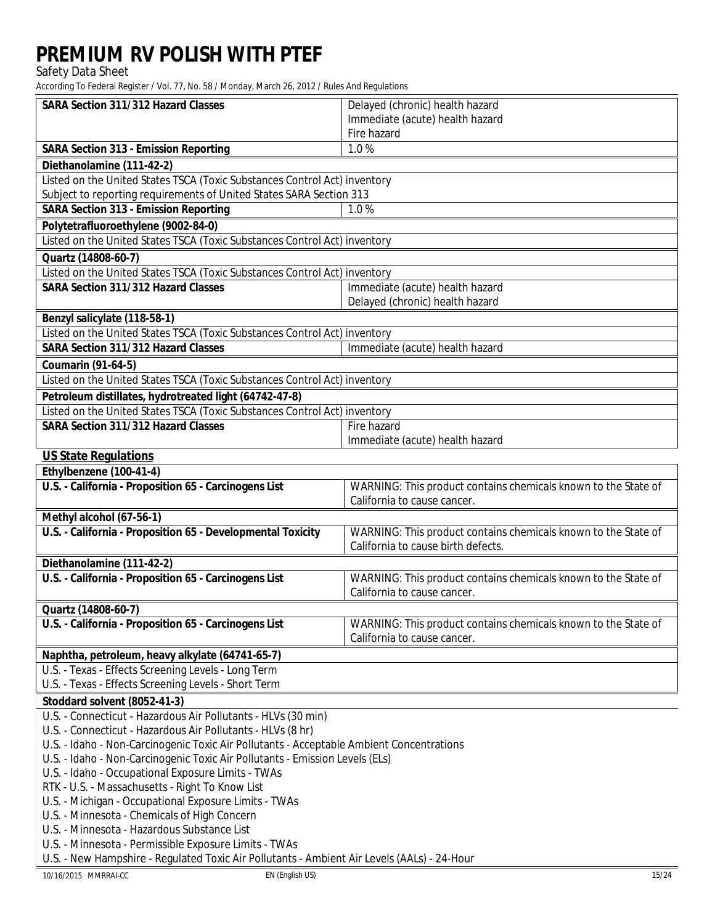Safety Data Sheet

According To Federal Register / Vol. 77, No. 58 / Monday, March 26, 2012 / Rules And Regulations

| <b>SARA Section 311/312 Hazard Classes</b>                                                                                                              | Delayed (chronic) health hazard                                |  |
|---------------------------------------------------------------------------------------------------------------------------------------------------------|----------------------------------------------------------------|--|
|                                                                                                                                                         | Immediate (acute) health hazard                                |  |
|                                                                                                                                                         | <b>Fire hazard</b>                                             |  |
| <b>SARA Section 313 - Emission Reporting</b>                                                                                                            | 1.0%                                                           |  |
| Diethanolamine (111-42-2)                                                                                                                               |                                                                |  |
| Listed on the United States TSCA (Toxic Substances Control Act) inventory                                                                               |                                                                |  |
| Subject to reporting requirements of United States SARA Section 313                                                                                     |                                                                |  |
| <b>SARA Section 313 - Emission Reporting</b>                                                                                                            | 1.0%                                                           |  |
| Polytetrafluoroethylene (9002-84-0)                                                                                                                     |                                                                |  |
| Listed on the United States TSCA (Toxic Substances Control Act) inventory                                                                               |                                                                |  |
| Quartz (14808-60-7)                                                                                                                                     |                                                                |  |
| Listed on the United States TSCA (Toxic Substances Control Act) inventory                                                                               |                                                                |  |
| <b>SARA Section 311/312 Hazard Classes</b>                                                                                                              | Immediate (acute) health hazard                                |  |
|                                                                                                                                                         | Delayed (chronic) health hazard                                |  |
| Benzyl salicylate (118-58-1)                                                                                                                            |                                                                |  |
| <b>Listed on the United States TSCA (Toxic Substances Control Act) inventory</b>                                                                        |                                                                |  |
| <b>SARA Section 311/312 Hazard Classes</b>                                                                                                              | Immediate (acute) health hazard                                |  |
| <b>Coumarin (91-64-5)</b>                                                                                                                               |                                                                |  |
| Listed on the United States TSCA (Toxic Substances Control Act) inventory                                                                               |                                                                |  |
| Petroleum distillates, hydrotreated light (64742-47-8)                                                                                                  |                                                                |  |
| Listed on the United States TSCA (Toxic Substances Control Act) inventory                                                                               |                                                                |  |
| <b>SARA Section 311/312 Hazard Classes</b>                                                                                                              | <b>Fire hazard</b>                                             |  |
|                                                                                                                                                         | Immediate (acute) health hazard                                |  |
| <b>US State Regulations</b>                                                                                                                             |                                                                |  |
| Ethylbenzene (100-41-4)                                                                                                                                 |                                                                |  |
| U.S. - California - Proposition 65 - Carcinogens List                                                                                                   | WARNING: This product contains chemicals known to the State of |  |
|                                                                                                                                                         | California to cause cancer.                                    |  |
| Methyl alcohol (67-56-1)                                                                                                                                |                                                                |  |
| U.S. - California - Proposition 65 - Developmental Toxicity                                                                                             | WARNING: This product contains chemicals known to the State of |  |
|                                                                                                                                                         | California to cause birth defects.                             |  |
| Diethanolamine (111-42-2)                                                                                                                               |                                                                |  |
| U.S. - California - Proposition 65 - Carcinogens List                                                                                                   | WARNING: This product contains chemicals known to the State of |  |
|                                                                                                                                                         | California to cause cancer.                                    |  |
| <b>Quartz (14808-60-7)</b>                                                                                                                              |                                                                |  |
| U.S. - California - Proposition 65 - Carcinogens List                                                                                                   | WARNING: This product contains chemicals known to the State of |  |
|                                                                                                                                                         | California to cause cancer.                                    |  |
| Naphtha, petroleum, heavy alkylate (64741-65-7)                                                                                                         |                                                                |  |
| U.S. - Texas - Effects Screening Levels - Long Term                                                                                                     |                                                                |  |
| U.S. - Texas - Effects Screening Levels - Short Term                                                                                                    |                                                                |  |
| Stoddard solvent (8052-41-3)                                                                                                                            |                                                                |  |
| U.S. - Connecticut - Hazardous Air Pollutants - HLVs (30 min)                                                                                           |                                                                |  |
| U.S. - Connecticut - Hazardous Air Pollutants - HLVs (8 hr)<br>U.S. - Idaho - Non-Carcinogenic Toxic Air Pollutants - Acceptable Ambient Concentrations |                                                                |  |
| U.S. - Idaho - Non-Carcinogenic Toxic Air Pollutants - Emission Levels (ELs)                                                                            |                                                                |  |
| U.S. - Idaho - Occupational Exposure Limits - TWAs                                                                                                      |                                                                |  |
| RTK - U.S. - Massachusetts - Right To Know List                                                                                                         |                                                                |  |
| U.S. - Michigan - Occupational Exposure Limits - TWAs                                                                                                   |                                                                |  |
| U.S. - Minnesota - Chemicals of High Concern                                                                                                            |                                                                |  |
| U.S. - Minnesota - Hazardous Substance List                                                                                                             |                                                                |  |
| U.S. - Minnesota - Permissible Exposure Limits - TWAs                                                                                                   |                                                                |  |
| U.S. - New Hampshire - Regulated Toxic Air Pollutants - Ambient Air Levels (AALs) - 24-Hour                                                             |                                                                |  |

**EN** (English US)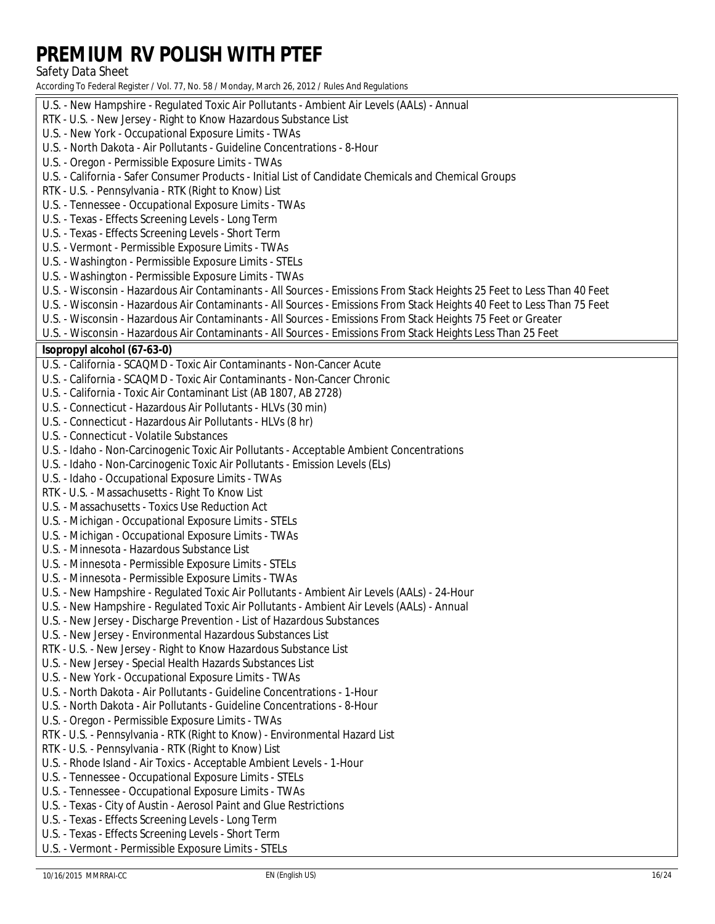### **Safety Data Sheet**

| U.S. - New Hampshire - Regulated Toxic Air Pollutants - Ambient Air Levels (AALs) - Annual                              |
|-------------------------------------------------------------------------------------------------------------------------|
| RTK - U.S. - New Jersey - Right to Know Hazardous Substance List                                                        |
| U.S. - New York - Occupational Exposure Limits - TWAs                                                                   |
| U.S. - North Dakota - Air Pollutants - Guideline Concentrations - 8-Hour                                                |
| U.S. - Oregon - Permissible Exposure Limits - TWAs                                                                      |
| U.S. - California - Safer Consumer Products - Initial List of Candidate Chemicals and Chemical Groups                   |
| RTK - U.S. - Pennsylvania - RTK (Right to Know) List                                                                    |
| U.S. - Tennessee - Occupational Exposure Limits - TWAs                                                                  |
| U.S. - Texas - Effects Screening Levels - Long Term                                                                     |
| U.S. - Texas - Effects Screening Levels - Short Term                                                                    |
| U.S. - Vermont - Permissible Exposure Limits - TWAs                                                                     |
| U.S. - Washington - Permissible Exposure Limits - STELs                                                                 |
| U.S. - Washington - Permissible Exposure Limits - TWAs                                                                  |
| U.S. - Wisconsin - Hazardous Air Contaminants - All Sources - Emissions From Stack Heights 25 Feet to Less Than 40 Feet |
| U.S. - Wisconsin - Hazardous Air Contaminants - All Sources - Emissions From Stack Heights 40 Feet to Less Than 75 Feet |
| U.S. - Wisconsin - Hazardous Air Contaminants - All Sources - Emissions From Stack Heights 75 Feet or Greater           |
| U.S. - Wisconsin - Hazardous Air Contaminants - All Sources - Emissions From Stack Heights Less Than 25 Feet            |
| <b>Kopropyl alcohol (67-63-0)</b>                                                                                       |
| U.S. - California - SCAQMD - Toxic Air Contaminants - Non-Cancer Acute                                                  |
| U.S. - California - SCAQMD - Toxic Air Contaminants - Non-Cancer Chronic                                                |
| U.S. - California - Toxic Air Contaminant List (AB 1807, AB 2728)                                                       |
| U.S. - Connecticut - Hazardous Air Pollutants - HLVs (30 min)                                                           |
| U.S. - Connecticut - Hazardous Air Pollutants - HLVs (8 hr)                                                             |
| <b>U.S. - Connecticut - Volatile Substances</b>                                                                         |
| U.S. - Idaho - Non-Carcinogenic Toxic Air Pollutants - Acceptable Ambient Concentrations                                |
| U.S. - Idaho - Non-Carcinogenic Toxic Air Pollutants - Emission Levels (ELs)                                            |
| U.S. - Idaho - Occupational Exposure Limits - TWAs                                                                      |
| RTK - U.S. - Massachusetts - Right To Know List                                                                         |
| U.S. - Massachusetts - Toxics Use Reduction Act                                                                         |
| U.S. - Michigan - Occupational Exposure Limits - STELs                                                                  |
| U.S. - Michigan - Occupational Exposure Limits - TWAs                                                                   |
| U.S. - Minnesota - Hazardous Substance List                                                                             |
| U.S. - Minnesota - Permissible Exposure Limits - STELs                                                                  |
| U.S. - Minnesota - Permissible Exposure Limits - TWAs                                                                   |
| U.S. - New Hampshire - Regulated Toxic Air Pollutants - Ambient Air Levels (AALs) - 24-Hour                             |
| U.S. - New Hampshire - Regulated Toxic Air Pollutants - Ambient Air Levels (AALs) - Annual                              |
| U.S. - New Jersey - Discharge Prevention - List of Hazardous Substances                                                 |
| U.S. - New Jersey - Environmental Hazardous Substances List                                                             |
| RTK - U.S. - New Jersey - Right to Know Hazardous Substance List                                                        |
| U.S. - New Jersey - Special Health Hazards Substances List                                                              |
| U.S. - New York - Occupational Exposure Limits - TWAs                                                                   |
| U.S. - North Dakota - Air Pollutants - Guideline Concentrations - 1-Hour                                                |
| U.S. - North Dakota - Air Pollutants - Guideline Concentrations - 8-Hour                                                |
| U.S. - Oregon - Permissible Exposure Limits - TWAs                                                                      |
| RTK - U.S. - Pennsylvania - RTK (Right to Know) - Environmental Hazard List                                             |
| RTK - U.S. - Pennsylvania - RTK (Right to Know) List                                                                    |
| U.S. - Rhode Island - Air Toxics - Acceptable Ambient Levels - 1-Hour                                                   |
| U.S. - Tennessee - Occupational Exposure Limits - STELs                                                                 |
| <b>U.S. - Tennessee - Occupational Exposure Limits - TWAs</b>                                                           |
| U.S. - Texas - City of Austin - Aerosol Paint and Glue Restrictions                                                     |
| U.S. - Texas - Effects Screening Levels - Long Term                                                                     |
| U.S. - Texas - Effects Screening Levels - Short Term                                                                    |
| U.S. - Vermont - Permissible Exposure Limits - STELs                                                                    |
| 10/16/2015 MMRRAI-CC<br>EN (English US)                                                                                 |
|                                                                                                                         |
|                                                                                                                         |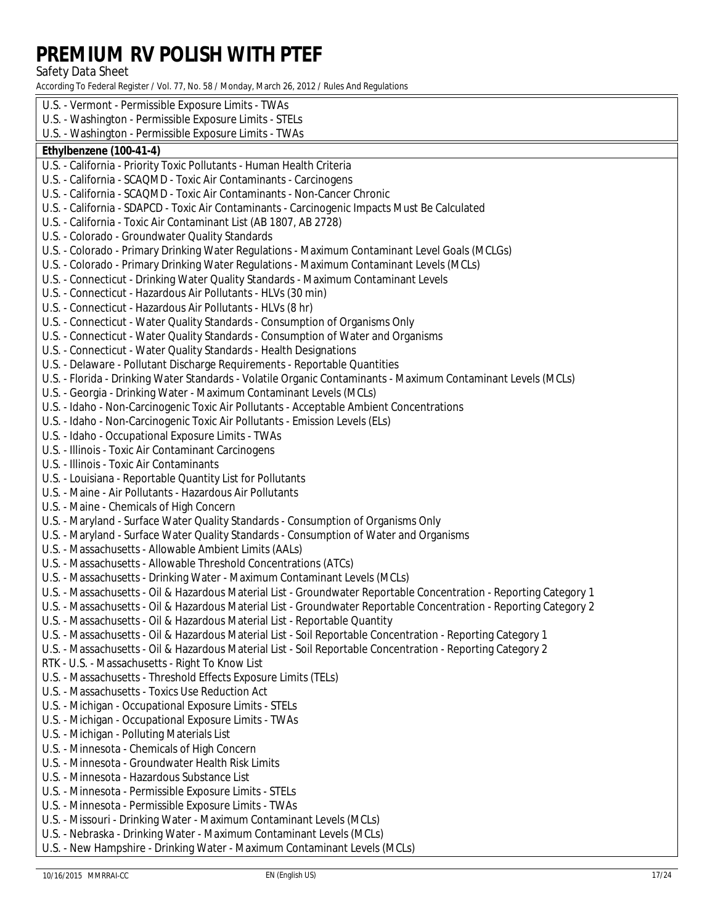**Safety Data Sheet** 

According To Federal Register / Vol. 77, No. 58 / Monday, March 26, 2012 / Rules And Regulations

U.S. - Vermont - Permissible Exposure Limits - TWAs U.S. - Washington - Permissible Exposure Limits - STELs U.S. - Washington - Permissible Exposure Limits - TWAs Ethylbenzene (100-41-4) U.S. - California - Priority Toxic Pollutants - Human Health Criteria U.S. - California - SCAQMD - Toxic Air Contaminants - Carcinogens U.S. - California - SCAQMD - Toxic Air Contaminants - Non-Cancer Chronic U.S. - California - SDAPCD - Toxic Air Contaminants - Carcinogenic Impacts Must Be Calculated U.S. - California - Toxic Air Contaminant List (AB 1807, AB 2728) **U.S. - Colorado - Groundwater Quality Standards** U.S. - Colorado - Primary Drinking Water Regulations - Maximum Contaminant Level Goals (MCLGs) U.S. - Colorado - Primary Drinking Water Regulations - Maximum Contaminant Levels (MCLs) U.S. - Connecticut - Drinking Water Quality Standards - Maximum Contaminant Levels U.S. - Connecticut - Hazardous Air Pollutants - HLVs (30 min) U.S. - Connecticut - Hazardous Air Pollutants - HLVs (8 hr) U.S. - Connecticut - Water Quality Standards - Consumption of Organisms Only U.S. - Connecticut - Water Quality Standards - Consumption of Water and Organisms U.S. - Connecticut - Water Quality Standards - Health Designations U.S. - Delaware - Pollutant Discharge Requirements - Reportable Quantities U.S. - Florida - Drinking Water Standards - Volatile Organic Contaminants - Maximum Contaminant Levels (MCLs) U.S. - Georgia - Drinking Water - Maximum Contaminant Levels (MCLs) U.S. - Idaho - Non-Carcinogenic Toxic Air Pollutants - Acceptable Ambient Concentrations U.S. - Idaho - Non-Carcinogenic Toxic Air Pollutants - Emission Levels (ELs) U.S. - Idaho - Occupational Exposure Limits - TWAs **U.S. - Illinois - Toxic Air Contaminant Carcinogens U.S. - Illinois - Toxic Air Contaminants** U.S. - Louisiana - Reportable Quantity List for Pollutants U.S. - Maine - Air Pollutants - Hazardous Air Pollutants U.S. - Maine - Chemicals of High Concern U.S. - Maryland - Surface Water Quality Standards - Consumption of Organisms Only U.S. - Maryland - Surface Water Quality Standards - Consumption of Water and Organisms U.S. - Massachusetts - Allowable Ambient Limits (AALs) U.S. - Massachusetts - Allowable Threshold Concentrations (ATCs) U.S. - Massachusetts - Drinking Water - Maximum Contaminant Levels (MCLs) U.S. - Massachusetts - Oil & Hazardous Material List - Groundwater Reportable Concentration - Reporting Category 1 U.S. - Massachusetts - Oil & Hazardous Material List - Groundwater Reportable Concentration - Reporting Category 2 U.S. - Massachusetts - Oil & Hazardous Material List - Reportable Quantity U.S. - Massachusetts - Oil & Hazardous Material List - Soil Reportable Concentration - Reporting Category 1 U.S. - Massachusetts - Oil & Hazardous Material List - Soil Reportable Concentration - Reporting Category 2 RTK - U.S. - Massachusetts - Right To Know List U.S. - Massachusetts - Threshold Effects Exposure Limits (TELs) **U.S. - Massachusetts - Toxics Use Reduction Act** U.S. - Michigan - Occupational Exposure Limits - STELs U.S. - Michigan - Occupational Exposure Limits - TWAs U.S. - Michigan - Polluting Materials List U.S. - Minnesota - Chemicals of High Concern **U.S. - Minnesota - Groundwater Health Risk Limits** U.S. - Minnesota - Hazardous Substance List U.S. - Minnesota - Permissible Exposure Limits - STELs U.S. - Minnesota - Permissible Exposure Limits - TWAs U.S. - Missouri - Drinking Water - Maximum Contaminant Levels (MCLs) U.S. - Nebraska - Drinking Water - Maximum Contaminant Levels (MCLs) U.S. - New Hampshire - Drinking Water - Maximum Contaminant Levels (MCLs)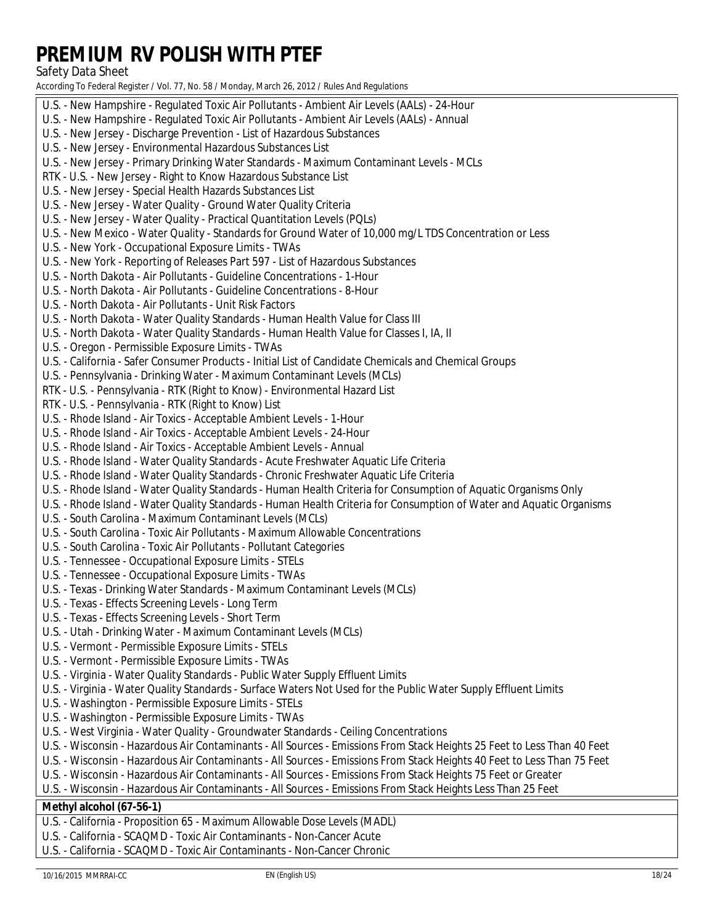### Safety Data Sheet

| U.S. - New Hampshire - Regulated Toxic Air Pollutants - Ambient Air Levels (AALs) - 24-Hour                                                     |
|-------------------------------------------------------------------------------------------------------------------------------------------------|
| U.S. - New Hampshire - Regulated Toxic Air Pollutants - Ambient Air Levels (AALs) - Annual                                                      |
| U.S. - New Jersey - Discharge Prevention - List of Hazardous Substances                                                                         |
| U.S. - New Jersey - Environmental Hazardous Substances List                                                                                     |
| U.S. - New Jersey - Primary Drinking Water Standards - Maximum Contaminant Levels - MCLs                                                        |
| RTK - U.S. - New Jersey - Right to Know Hazardous Substance List                                                                                |
| U.S. - New Jersey - Special Health Hazards Substances List                                                                                      |
| U.S. - New Jersey - Water Quality - Ground Water Quality Criteria                                                                               |
| U.S. - New Jersey - Water Quality - Practical Quantitation Levels (PQLs)                                                                        |
| U.S. - New Mexico - Water Quality - Standards for Ground Water of 10,000 mg/L TDS Concentration or Less                                         |
| U.S. - New York - Occupational Exposure Limits - TWAs                                                                                           |
| U.S. - New York - Reporting of Releases Part 597 - List of Hazardous Substances                                                                 |
| U.S. - North Dakota - Air Pollutants - Guideline Concentrations - 1-Hour                                                                        |
| U.S. - North Dakota - Air Pollutants - Guideline Concentrations - 8-Hour                                                                        |
| U.S. - North Dakota - Air Pollutants - Unit Risk Factors                                                                                        |
| U.S. - North Dakota - Water Quality Standards - Human Health Value for Class III                                                                |
| U.S. - North Dakota - Water Quality Standards - Human Health Value for Classes I, IA, II                                                        |
| U.S. - Oregon - Permissible Exposure Limits - TWAs                                                                                              |
| U.S. - California - Safer Consumer Products - Initial List of Candidate Chemicals and Chemical Groups                                           |
| U.S. - Pennsylvania - Drinking Water - Maximum Contaminant Levels (MCLs)                                                                        |
| RTK - U.S. - Pennsylvania - RTK (Right to Know) - Environmental Hazard List                                                                     |
| RTK - U.S. - Pennsylvania - RTK (Right to Know) List<br>U.S. - Rhode Island - Air Toxics - Acceptable Ambient Levels - 1-Hour                   |
|                                                                                                                                                 |
| U.S. - Rhode Island - Air Toxics - Acceptable Ambient Levels - 24-Hour<br>U.S. - Rhode Island - Air Toxics - Acceptable Ambient Levels - Annual |
| U.S. - Rhode Island - Water Quality Standards - Acute Freshwater Aquatic Life Criteria                                                          |
| U.S. - Rhode Island - Water Quality Standards - Chronic Freshwater Aquatic Life Criteria                                                        |
| U.S. - Rhode Island - Water Quality Standards - Human Health Criteria for Consumption of Aquatic Organisms Only                                 |
| U.S. - Rhode Island - Water Quality Standards - Human Health Criteria for Consumption of Water and Aquatic Organisms                            |
| U.S. - South Carolina - Maximum Contaminant Levels (MCLs)                                                                                       |
| U.S. - South Carolina - Toxic Air Pollutants - Maximum Allowable Concentrations                                                                 |
| U.S. - South Carolina - Toxic Air Pollutants - Pollutant Categories                                                                             |
| U.S. - Tennessee - Occupational Exposure Limits - STELs                                                                                         |
| U.S. - Tennessee - Occupational Exposure Limits - TWAs                                                                                          |
| U.S. - Texas - Drinking Water Standards - Maximum Contaminant Levels (MCLs)                                                                     |
| U.S. - Texas - Effects Screening Levels - Long Term                                                                                             |
| U.S. - Texas - Effects Screening Levels - Short Term                                                                                            |
| U.S. - Utah - Drinking Water - Maximum Contaminant Levels (MCLs)                                                                                |
| U.S. - Vermont - Permissible Exposure Limits - STELs                                                                                            |
| U.S. - Vermont - Permissible Exposure Limits - TWAs                                                                                             |
| U.S. - Virginia - Water Quality Standards - Public Water Supply Effluent Limits                                                                 |
| U.S. - Virginia - Water Quality Standards - Surface Waters Not Used for the Public Water Supply Effluent Limits                                 |
| U.S. - Washington - Permissible Exposure Limits - STELs                                                                                         |
| U.S. - Washington - Permissible Exposure Limits - TWAs                                                                                          |
| U.S. - West Virginia - Water Quality - Groundwater Standards - Ceiling Concentrations                                                           |
| U.S. - Wisconsin - Hazardous Air Contaminants - All Sources - Emissions From Stack Heights 25 Feet to Less Than 40 Feet                         |
| U.S. - Wisconsin - Hazardous Air Contaminants - All Sources - Emissions From Stack Heights 40 Feet to Less Than 75 Feet                         |
| U.S. - Wisconsin - Hazardous Air Contaminants - All Sources - Emissions From Stack Heights 75 Feet or Greater                                   |
| U.S. - Wisconsin - Hazardous Air Contaminants - All Sources - Emissions From Stack Heights Less Than 25 Feet                                    |
| Methyl alcohol (67-56-1)                                                                                                                        |
| U.S. - California - Proposition 65 - Maximum Allowable Dose Levels (MADL)                                                                       |
| U.S. - California - SCAQMD - Toxic Air Contaminants - Non-Cancer Acute                                                                          |
| U.S. - California - SCAQMD - Toxic Air Contaminants - Non-Cancer Chronic                                                                        |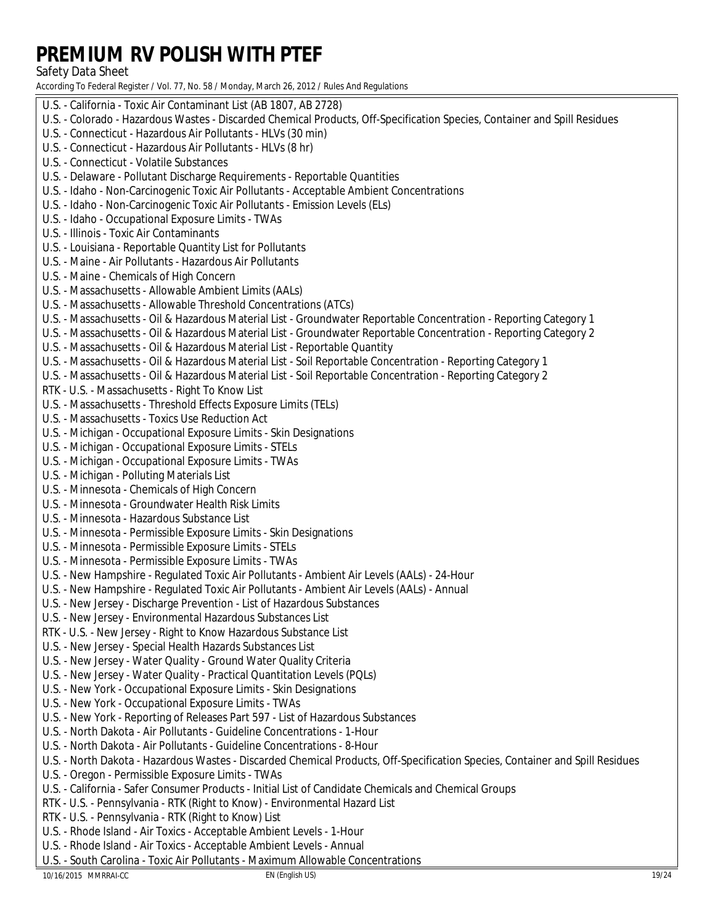#### **Safety Data Sheet**

According To Federal Register / Vol. 77, No. 58 / Monday, March 26, 2012 / Rules And Regulations

U.S. - California - Toxic Air Contaminant List (AB 1807, AB 2728) U.S. - Colorado - Hazardous Wastes - Discarded Chemical Products, Off-Specification Species, Container and Spill Residues U.S. - Connecticut - Hazardous Air Pollutants - HLVs (30 min) U.S. - Connecticut - Hazardous Air Pollutants - HLVs (8 hr) **U.S. - Connecticut - Volatile Substances** U.S. - Delaware - Pollutant Discharge Requirements - Reportable Quantities U.S. - Idaho - Non-Carcinogenic Toxic Air Pollutants - Acceptable Ambient Concentrations U.S. - Idaho - Non-Carcinogenic Toxic Air Pollutants - Emission Levels (ELs) **U.S. - Idaho - Occupational Exposure Limits - TWAs U.S. - Illinois - Toxic Air Contaminants** U.S. - Louisiana - Reportable Quantity List for Pollutants U.S. - Maine - Air Pollutants - Hazardous Air Pollutants U.S. - Maine - Chemicals of High Concern U.S. - Massachusetts - Allowable Ambient Limits (AALs) U.S. - Massachusetts - Allowable Threshold Concentrations (ATCs) U.S. - Massachusetts - Oil & Hazardous Material List - Groundwater Reportable Concentration - Reporting Category 1 U.S. - Massachusetts - Oil & Hazardous Material List - Groundwater Reportable Concentration - Reporting Category 2 U.S. - Massachusetts - Oil & Hazardous Material List - Reportable Quantity U.S. - Massachusetts - Oil & Hazardous Material List - Soil Reportable Concentration - Reporting Category 1 U.S. - Massachusetts - Oil & Hazardous Material List - Soil Reportable Concentration - Reporting Category 2 RTK - U.S. - Massachusetts - Right To Know List U.S. - Massachusetts - Threshold Effects Exposure Limits (TELs) **U.S. - Massachusetts - Toxics Use Reduction Act** U.S. - Michigan - Occupational Exposure Limits - Skin Designations U.S. - Michigan - Occupational Exposure Limits - STELs U.S. - Michigan - Occupational Exposure Limits - TWAs **U.S. - Michigan - Polluting Materials List** U.S. - Minnesota - Chemicals of High Concern U.S. - Minnesota - Groundwater Health Risk Limits U.S. - Minnesota - Hazardous Substance List U.S. - Minnesota - Permissible Exposure Limits - Skin Designations U.S. - Minnesota - Permissible Exposure Limits - STELs U.S. - Minnesota - Permissible Exposure Limits - TWAs U.S. - New Hampshire - Regulated Toxic Air Pollutants - Ambient Air Levels (AALs) - 24-Hour U.S. - New Hampshire - Regulated Toxic Air Pollutants - Ambient Air Levels (AALs) - Annual U.S. - New Jersey - Discharge Prevention - List of Hazardous Substances U.S. - New Jersey - Environmental Hazardous Substances List RTK - U.S. - New Jersey - Right to Know Hazardous Substance List U.S. - New Jersey - Special Health Hazards Substances List U.S. - New Jersey - Water Quality - Ground Water Quality Criteria U.S. - New Jersey - Water Quality - Practical Quantitation Levels (PQLs) **U.S. - New York - Occupational Exposure Limits - Skin Designations U.S. - New York - Occupational Exposure Limits - TWAs** U.S. - New York - Reporting of Releases Part 597 - List of Hazardous Substances U.S. - North Dakota - Air Pollutants - Guideline Concentrations - 1-Hour U.S. - North Dakota - Air Pollutants - Guideline Concentrations - 8-Hour U.S. - North Dakota - Hazardous Wastes - Discarded Chemical Products, Off-Specification Species, Container and Spill Residues U.S. - Oregon - Permissible Exposure Limits - TWAs U.S. - California - Safer Consumer Products - Initial List of Candidate Chemicals and Chemical Groups RTK - U.S. - Pennsylvania - RTK (Right to Know) - Environmental Hazard List RTK - U.S. - Pennsylvania - RTK (Right to Know) List U.S. - Rhode Island - Air Toxics - Acceptable Ambient Levels - 1-Hour U.S. - Rhode Island - Air Toxics - Acceptable Ambient Levels - Annual U.S. - South Carolina - Toxic Air Pollutants - Maximum Allowable Concentrations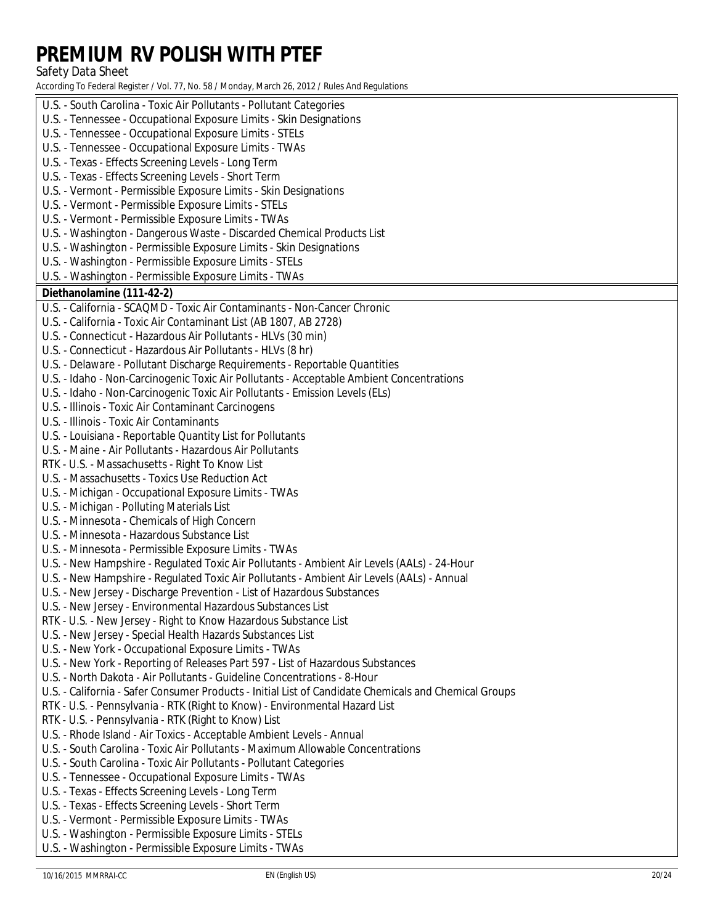Safety Data Sheet

| U.S. - South Carolina - Toxic Air Pollutants - Pollutant Categories                                   |
|-------------------------------------------------------------------------------------------------------|
| U.S. - Tennessee - Occupational Exposure Limits - Skin Designations                                   |
| U.S. - Tennessee - Occupational Exposure Limits - STELs                                               |
| U.S. - Tennessee - Occupational Exposure Limits - TWAs                                                |
| U.S. - Texas - Effects Screening Levels - Long Term                                                   |
| U.S. - Texas - Effects Screening Levels - Short Term                                                  |
| U.S. - Vermont - Permissible Exposure Limits - Skin Designations                                      |
| U.S. - Vermont - Permissible Exposure Limits - STELs                                                  |
| U.S. - Vermont - Permissible Exposure Limits - TWAs                                                   |
| U.S. - Washington - Dangerous Waste - Discarded Chemical Products List                                |
| U.S. - Washington - Permissible Exposure Limits - Skin Designations                                   |
| U.S. - Washington - Permissible Exposure Limits - STELs                                               |
| U.S. - Washington - Permissible Exposure Limits - TWAs                                                |
| Diethanolamine (111-42-2)                                                                             |
| U.S. - California - SCAQMD - Toxic Air Contaminants - Non-Cancer Chronic                              |
| U.S. - California - Toxic Air Contaminant List (AB 1807, AB 2728)                                     |
| U.S. - Connecticut - Hazardous Air Pollutants - HLVs (30 min)                                         |
| U.S. - Connecticut - Hazardous Air Pollutants - HLVs (8 hr)                                           |
| U.S. - Delaware - Pollutant Discharge Requirements - Reportable Quantities                            |
| U.S. - Idaho - Non-Carcinogenic Toxic Air Pollutants - Acceptable Ambient Concentrations              |
| U.S. - Idaho - Non-Carcinogenic Toxic Air Pollutants - Emission Levels (ELs)                          |
| U.S. - Illinois - Toxic Air Contaminant Carcinogens                                                   |
| U.S. - Illinois - Toxic Air Contaminants                                                              |
| U.S. - Louisiana - Reportable Quantity List for Pollutants                                            |
| U.S. - Maine - Air Pollutants - Hazardous Air Pollutants                                              |
| RTK - U.S. - Massachusetts - Right To Know List                                                       |
| <b>U.S. - Massachusetts - Toxics Use Reduction Act</b>                                                |
| U.S. - Michigan - Occupational Exposure Limits - TWAs                                                 |
| U.S. - Michigan - Polluting Materials List                                                            |
| U.S. - Minnesota - Chemicals of High Concern                                                          |
| U.S. - Minnesota - Hazardous Substance List                                                           |
| U.S. - Minnesota - Permissible Exposure Limits - TWAs                                                 |
| U.S. - New Hampshire - Regulated Toxic Air Pollutants - Ambient Air Levels (AALs) - 24-Hour           |
| U.S. - New Hampshire - Regulated Toxic Air Pollutants - Ambient Air Levels (AALs) - Annual            |
| U.S. - New Jersey - Discharge Prevention - List of Hazardous Substances                               |
| U.S. - New Jersey - Environmental Hazardous Substances List                                           |
| RTK - U.S. - New Jersey - Right to Know Hazardous Substance List                                      |
| U.S. - New Jersey - Special Health Hazards Substances List                                            |
| U.S. - New York - Occupational Exposure Limits - TWAs                                                 |
| U.S. - New York - Reporting of Releases Part 597 - List of Hazardous Substances                       |
| U.S. - North Dakota - Air Pollutants - Guideline Concentrations - 8-Hour                              |
| U.S. - California - Safer Consumer Products - Initial List of Candidate Chemicals and Chemical Groups |
| RTK - U.S. - Pennsylvania - RTK (Right to Know) - Environmental Hazard List                           |
| RTK - U.S. - Pennsylvania - RTK (Right to Know) List                                                  |
| U.S. - Rhode Island - Air Toxics - Acceptable Ambient Levels - Annual                                 |
| U.S. - South Carolina - Toxic Air Pollutants - Maximum Allowable Concentrations                       |
| U.S. - South Carolina - Toxic Air Pollutants - Pollutant Categories                                   |
| <b>U.S. - Tennessee - Occupational Exposure Limits - TWAs</b>                                         |
| U.S. - Texas - Effects Screening Levels - Long Term                                                   |
| U.S. - Texas - Effects Screening Levels - Short Term                                                  |
| U.S. - Vermont - Permissible Exposure Limits - TWAs                                                   |
| U.S. - Washington - Permissible Exposure Limits - STELs                                               |
| U.S. - Washington - Permissible Exposure Limits - TWAs                                                |
|                                                                                                       |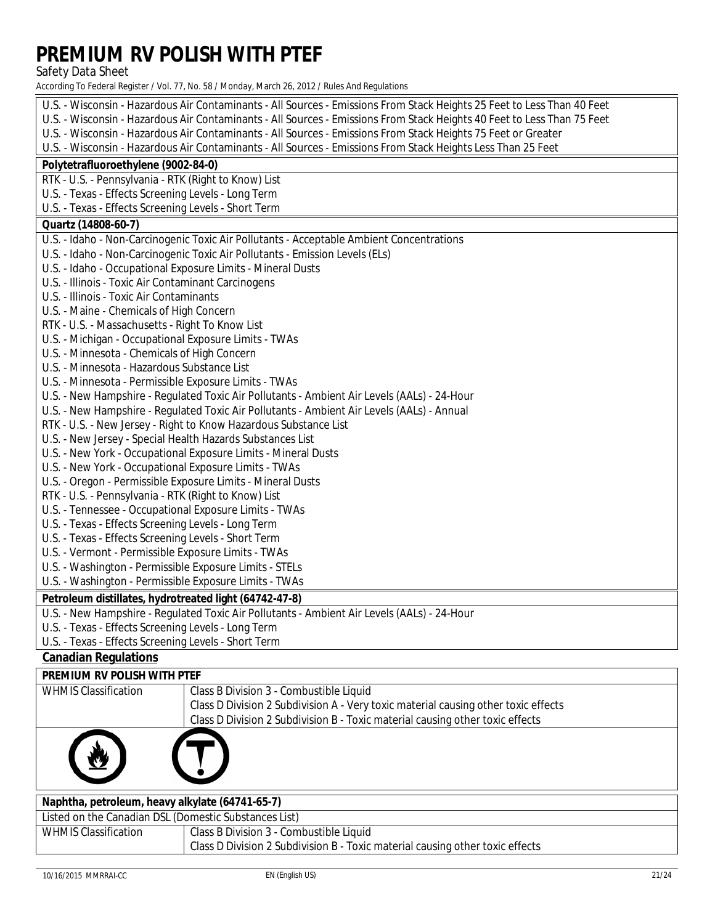**Safety Data Sheet** 

According To Federal Register / Vol. 77, No. 58 / Monday, March 26, 2012 / Rules And Regulations

| U.S. - Wisconsin - Hazardous Air Contaminants - All Sources - Emissions From Stack Heights 25 Feet to Less Than 40 Feet |  |  |
|-------------------------------------------------------------------------------------------------------------------------|--|--|
| U.S. - Wisconsin - Hazardous Air Contaminants - All Sources - Emissions From Stack Heights 40 Feet to Less Than 75 Feet |  |  |
| U.S. - Wisconsin - Hazardous Air Contaminants - All Sources - Emissions From Stack Heights 75 Feet or Greater           |  |  |
| U.S. - Wisconsin - Hazardous Air Contaminants - All Sources - Emissions From Stack Heights Less Than 25 Feet            |  |  |
| Polytetrafluoroethylene (9002-84-0)                                                                                     |  |  |
| RTK - U.S. - Pennsylvania - RTK (Right to Know) List                                                                    |  |  |
| U.S. - Texas - Effects Screening Levels - Long Term                                                                     |  |  |
| U.S. - Texas - Effects Screening Levels - Short Term                                                                    |  |  |
| <b>Quartz (14808-60-7)</b>                                                                                              |  |  |
| U.S. - Idaho - Non-Carcinogenic Toxic Air Pollutants - Acceptable Ambient Concentrations                                |  |  |
| U.S. - Idaho - Non-Carcinogenic Toxic Air Pollutants - Emission Levels (ELs)                                            |  |  |
| U.S. - Idaho - Occupational Exposure Limits - Mineral Dusts                                                             |  |  |
| <b>U.S. - Illinois - Toxic Air Contaminant Carcinogens</b>                                                              |  |  |
| U.S. - Illinois - Toxic Air Contaminants                                                                                |  |  |
| <b>U.S. - Maine - Chemicals of High Concern</b>                                                                         |  |  |
| RTK - U.S. - Massachusetts - Right To Know List                                                                         |  |  |
| U.S. - Michigan - Occupational Exposure Limits - TWAs                                                                   |  |  |
| U.S. - Minnesota - Chemicals of High Concern                                                                            |  |  |
| U.S. - Minnesota - Hazardous Substance List                                                                             |  |  |
| U.S. - Minnesota - Permissible Exposure Limits - TWAs                                                                   |  |  |
| U.S. - New Hampshire - Regulated Toxic Air Pollutants - Ambient Air Levels (AALs) - 24-Hour                             |  |  |
| U.S. - New Hampshire - Regulated Toxic Air Pollutants - Ambient Air Levels (AALs) - Annual                              |  |  |
| RTK - U.S. - New Jersey - Right to Know Hazardous Substance List                                                        |  |  |
| U.S. - New Jersey - Special Health Hazards Substances List                                                              |  |  |
| <b>U.S. - New York - Occupational Exposure Limits - Mineral Dusts</b>                                                   |  |  |
| <b>U.S. - New York - Occupational Exposure Limits - TWAs</b>                                                            |  |  |
| U.S. - Oregon - Permissible Exposure Limits - Mineral Dusts                                                             |  |  |
| RTK - U.S. - Pennsylvania - RTK (Right to Know) List                                                                    |  |  |
| U.S. - Tennessee - Occupational Exposure Limits - TWAs                                                                  |  |  |
| <b>U.S. - Texas - Effects Screening Levels - Long Term</b>                                                              |  |  |
| U.S. - Texas - Effects Screening Levels - Short Term                                                                    |  |  |
| U.S. - Vermont - Permissible Exposure Limits - TWAs                                                                     |  |  |
| U.S. - Washington - Permissible Exposure Limits - STELs                                                                 |  |  |
| U.S. - Washington - Permissible Exposure Limits - TWAs                                                                  |  |  |
| Petroleum distillates, hydrotreated light (64742-47-8)                                                                  |  |  |
| U.S. - New Hampshire - Regulated Toxic Air Pollutants - Ambient Air Levels (AALs) - 24-Hour                             |  |  |
| U.S. - Texas - Effects Screening Levels - Long Term                                                                     |  |  |
| <b>U.S. - Texas - Effects Screening Levels - Short Term</b>                                                             |  |  |
| <b>Canadian Regulations</b>                                                                                             |  |  |
|                                                                                                                         |  |  |

#### **PREMIUM RV POLISH WITH PTEF**

| <b>WHMIS Classification</b>                           | <b>Class B Division 3 - Combustible Liquid</b>                                     |  |
|-------------------------------------------------------|------------------------------------------------------------------------------------|--|
|                                                       | Class D Division 2 Subdivision A - Very toxic material causing other toxic effects |  |
|                                                       | Class D Division 2 Subdivision B - Toxic material causing other toxic effects      |  |
|                                                       |                                                                                    |  |
| Naphtha, petroleum, heavy alkylate (64741-65-7)       |                                                                                    |  |
| Listed on the Canadian DSL (Domestic Substances List) |                                                                                    |  |
| <b>WHMIS Classification</b>                           | <b>Class B Division 3 - Combustible Liquid</b>                                     |  |
|                                                       | Class D Division 2 Subdivision B - Toxic material causing other toxic effects      |  |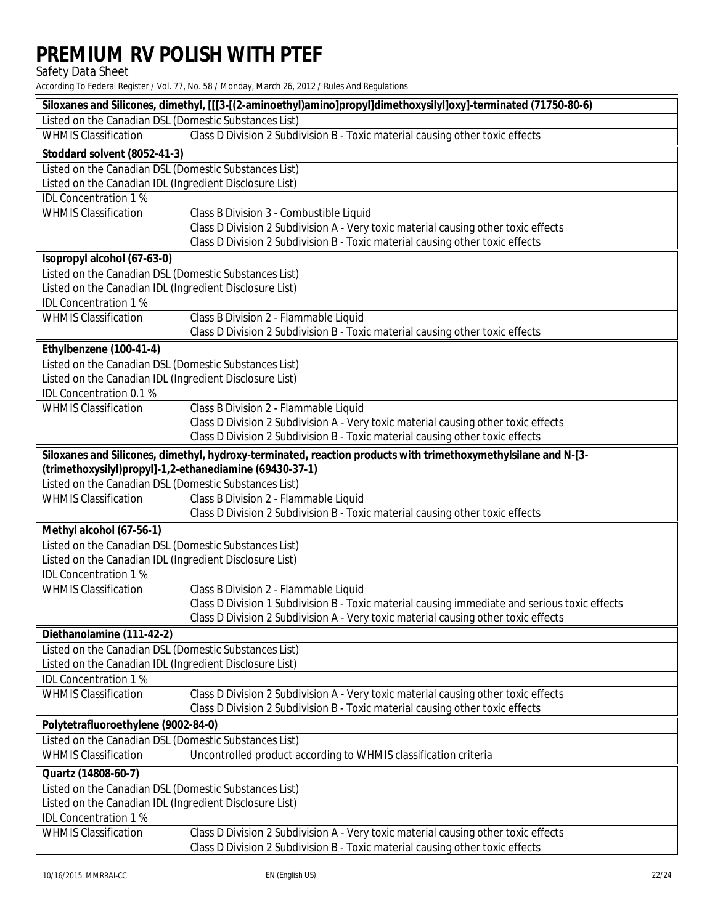Safety Data Sheet

| <b>Listed on the Canadian DSL (Domestic Substances List)</b><br><b>WHMIS Classification</b><br>Class D Division 2 Subdivision B - Toxic material causing other toxic effects<br>Stoddard solvent (8052-41-3)<br><b>Listed on the Canadian DSL (Domestic Substances List)</b><br>Listed on the Canadian IDL (Ingredient Disclosure List)<br><b>IDL</b> Concentration 1 %<br><b>WHMIS Classification</b><br><b>Class B Division 3 - Combustible Liquid</b> |  |  |
|----------------------------------------------------------------------------------------------------------------------------------------------------------------------------------------------------------------------------------------------------------------------------------------------------------------------------------------------------------------------------------------------------------------------------------------------------------|--|--|
|                                                                                                                                                                                                                                                                                                                                                                                                                                                          |  |  |
|                                                                                                                                                                                                                                                                                                                                                                                                                                                          |  |  |
|                                                                                                                                                                                                                                                                                                                                                                                                                                                          |  |  |
|                                                                                                                                                                                                                                                                                                                                                                                                                                                          |  |  |
|                                                                                                                                                                                                                                                                                                                                                                                                                                                          |  |  |
|                                                                                                                                                                                                                                                                                                                                                                                                                                                          |  |  |
|                                                                                                                                                                                                                                                                                                                                                                                                                                                          |  |  |
| Class D Division 2 Subdivision A - Very toxic material causing other toxic effects                                                                                                                                                                                                                                                                                                                                                                       |  |  |
| Class D Division 2 Subdivision B - Toxic material causing other toxic effects                                                                                                                                                                                                                                                                                                                                                                            |  |  |
| <b>Kopropyl alcohol (67-63-0)</b>                                                                                                                                                                                                                                                                                                                                                                                                                        |  |  |
| <b>Listed on the Canadian DSL (Domestic Substances List)</b>                                                                                                                                                                                                                                                                                                                                                                                             |  |  |
| Listed on the Canadian IDL (Ingredient Disclosure List)                                                                                                                                                                                                                                                                                                                                                                                                  |  |  |
| <b>IDL</b> Concentration 1 %                                                                                                                                                                                                                                                                                                                                                                                                                             |  |  |
| <b>WHMIS Classification</b><br><b>Class B Division 2 - Flammable Liquid</b>                                                                                                                                                                                                                                                                                                                                                                              |  |  |
| Class D Division 2 Subdivision B - Toxic material causing other toxic effects                                                                                                                                                                                                                                                                                                                                                                            |  |  |
| Ethylbenzene (100-41-4)                                                                                                                                                                                                                                                                                                                                                                                                                                  |  |  |
| <b>Listed on the Canadian DSL (Domestic Substances List)</b>                                                                                                                                                                                                                                                                                                                                                                                             |  |  |
| Listed on the Canadian IDL (Ingredient Disclosure List)                                                                                                                                                                                                                                                                                                                                                                                                  |  |  |
| <b>IDL</b> Concentration 0.1 %                                                                                                                                                                                                                                                                                                                                                                                                                           |  |  |
| <b>WHMIS Classification</b><br><b>Class B Division 2 - Flammable Liquid</b>                                                                                                                                                                                                                                                                                                                                                                              |  |  |
| Class D Division 2 Subdivision A - Very toxic material causing other toxic effects                                                                                                                                                                                                                                                                                                                                                                       |  |  |
| Class D Division 2 Subdivision B - Toxic material causing other toxic effects                                                                                                                                                                                                                                                                                                                                                                            |  |  |
| Siloxanes and Silicones, dimethyl, hydroxy-terminated, reaction products with trimethoxymethylsilane and N-[3-                                                                                                                                                                                                                                                                                                                                           |  |  |
| (trimethoxysilyl)propyl]-1,2-ethanediamine (69430-37-1)                                                                                                                                                                                                                                                                                                                                                                                                  |  |  |
| <b>Listed on the Canadian DSL (Domestic Substances List)</b>                                                                                                                                                                                                                                                                                                                                                                                             |  |  |
| <b>WHMIS Classification</b><br><b>Class B Division 2 - Flammable Liquid</b>                                                                                                                                                                                                                                                                                                                                                                              |  |  |
| Class D Division 2 Subdivision B - Toxic material causing other toxic effects                                                                                                                                                                                                                                                                                                                                                                            |  |  |
| Methyl alcohol (67-56-1)                                                                                                                                                                                                                                                                                                                                                                                                                                 |  |  |
| <b>Listed on the Canadian DSL (Domestic Substances List)</b>                                                                                                                                                                                                                                                                                                                                                                                             |  |  |
| Listed on the Canadian IDL (Ingredient Disclosure List)                                                                                                                                                                                                                                                                                                                                                                                                  |  |  |
| <b>IDL</b> Concentration 1 %                                                                                                                                                                                                                                                                                                                                                                                                                             |  |  |
| <b>WHMIS Classification</b><br><b>Class B Division 2 - Flammable Liquid</b>                                                                                                                                                                                                                                                                                                                                                                              |  |  |
| Class D Division 1 Subdivision B - Toxic material causing immediate and serious toxic effects                                                                                                                                                                                                                                                                                                                                                            |  |  |
| Class D Division 2 Subdivision A - Very toxic material causing other toxic effects                                                                                                                                                                                                                                                                                                                                                                       |  |  |
| Diethanolamine (111-42-2)                                                                                                                                                                                                                                                                                                                                                                                                                                |  |  |
| Listed on the Canadian DSL (Domestic Substances List)                                                                                                                                                                                                                                                                                                                                                                                                    |  |  |
|                                                                                                                                                                                                                                                                                                                                                                                                                                                          |  |  |
| Listed on the Canadian IDL (Ingredient Disclosure List)                                                                                                                                                                                                                                                                                                                                                                                                  |  |  |
| <b>IDL</b> Concentration 1 %                                                                                                                                                                                                                                                                                                                                                                                                                             |  |  |
| <b>WHMIS Classification</b><br>Class D Division 2 Subdivision A - Very toxic material causing other toxic effects                                                                                                                                                                                                                                                                                                                                        |  |  |
| Class D Division 2 Subdivision B - Toxic material causing other toxic effects                                                                                                                                                                                                                                                                                                                                                                            |  |  |
| Polytetrafluoroethylene (9002-84-0)                                                                                                                                                                                                                                                                                                                                                                                                                      |  |  |
| <b>Listed on the Canadian DSL (Domestic Substances List)</b>                                                                                                                                                                                                                                                                                                                                                                                             |  |  |
| Uncontrolled product according to WHMIS classification criteria<br><b>WHMIS Classification</b>                                                                                                                                                                                                                                                                                                                                                           |  |  |
| Quartz (14808-60-7)                                                                                                                                                                                                                                                                                                                                                                                                                                      |  |  |
| <b>Listed on the Canadian DSL (Domestic Substances List)</b>                                                                                                                                                                                                                                                                                                                                                                                             |  |  |
| Listed on the Canadian IDL (Ingredient Disclosure List)                                                                                                                                                                                                                                                                                                                                                                                                  |  |  |
| <b>IDL Concentration 1%</b>                                                                                                                                                                                                                                                                                                                                                                                                                              |  |  |
| <b>WHMIS Classification</b><br>Class D Division 2 Subdivision A - Very toxic material causing other toxic effects                                                                                                                                                                                                                                                                                                                                        |  |  |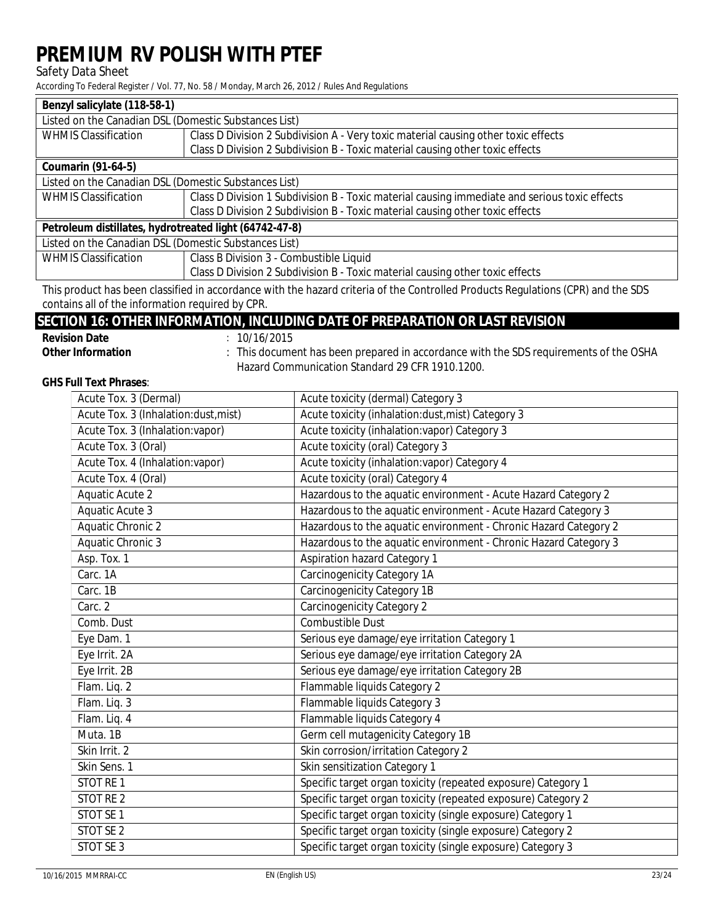### **Safety Data Sheet**

According To Federal Register / Vol. 77, No. 58 / Monday, March 26, 2012 / Rules And Regulations

| <b>Benzyl salicylate (118-58-1)</b>                    |                                                                                               |
|--------------------------------------------------------|-----------------------------------------------------------------------------------------------|
| Listed on the Canadian DSL (Domestic Substances List)  |                                                                                               |
| <b>WHMIS Classification</b>                            | Class D Division 2 Subdivision A - Very toxic material causing other toxic effects            |
|                                                        | Class D Division 2 Subdivision B - Toxic material causing other toxic effects                 |
| <b>Coumarin (91-64-5)</b>                              |                                                                                               |
| Listed on the Canadian DSL (Domestic Substances List)  |                                                                                               |
| <b>WHMIS Classification</b>                            | Class D Division 1 Subdivision B - Toxic material causing immediate and serious toxic effects |
|                                                        | Class D Division 2 Subdivision B - Toxic material causing other toxic effects                 |
| Petroleum distillates, hydrotreated light (64742-47-8) |                                                                                               |
| Listed on the Canadian DSL (Domestic Substances List)  |                                                                                               |
| <b>WHMIS Classification</b>                            | <b>Class B Division 3 - Combustible Liquid</b>                                                |
|                                                        | Class D Division 2 Subdivision B - Toxic material causing other toxic effects                 |
|                                                        |                                                                                               |

This product has been classified in accordance with the hazard criteria of the Controlled Products Regulations (CPR) and the SDS contains all of the information required by CPR.

### **SECTION 16: OTHER INFORMATION, INCLUDING DATE OF PREPARATION OR LAST REVISION**

| <b>Revision Date</b>     |  |
|--------------------------|--|
| <b>Other Information</b> |  |

 $: 10/16/2015$ 

: This document has been prepared in accordance with the SDS requirements of the OSHA Hazard Communication Standard 29 CFR 1910.1200.

### **GHS Full Text Phrases:**

| <b>Acute Tox. 3 (Dermal)</b>           | <b>Acute toxicity (dermal) Category 3</b>                        |
|----------------------------------------|------------------------------------------------------------------|
| Acute Tox. 3 (Inhalation:dust, mist)   | Acute toxicity (inhalation:dust, mist) Category 3                |
| <b>Acute Tox. 3 (Inhalation:vapor)</b> | <b>Acute toxicity (inhalation:vapor) Category 3</b>              |
| Acute Tox. 3 (Oral)                    | <b>Acute toxicity (oral) Category 3</b>                          |
| <b>Acute Tox. 4 (Inhalation:vapor)</b> | <b>Acute toxicity (inhalation:vapor) Category 4</b>              |
| <b>Acute Tox. 4 (Oral)</b>             | <b>Acute toxicity (oral) Category 4</b>                          |
| <b>Aquatic Acute 2</b>                 | Hazardous to the aquatic environment - Acute Hazard Category 2   |
| <b>Aquatic Acute 3</b>                 | Hazardous to the aquatic environment - Acute Hazard Category 3   |
| <b>Aquatic Chronic 2</b>               | Hazardous to the aquatic environment - Chronic Hazard Category 2 |
| <b>Aquatic Chronic 3</b>               | Hazardous to the aquatic environment - Chronic Hazard Category 3 |
| Asp. Tox. 1                            | <b>Aspiration hazard Category 1</b>                              |
| Carc. 1A                               | <b>Carcinogenicity Category 1A</b>                               |
| Carc. 1B                               | <b>Carcinogenicity Category 1B</b>                               |
| Carc. 2                                | <b>Carcinogenicity Category 2</b>                                |
| <b>Comb. Dust</b>                      | <b>Combustible Dust</b>                                          |
| Eye Dam. 1                             | Serious eye damage/eye irritation Category 1                     |
| Eye Irrit. 2A                          | Serious eye damage/eye irritation Category 2A                    |
| Eye Irrit. 2B                          | Serious eye damage/eye irritation Category 2B                    |
| Flam. Liq. 2                           | <b>Flammable liquids Category 2</b>                              |
| Flam. Liq. 3                           | <b>Flammable liquids Category 3</b>                              |
| Flam. Liq. 4                           | <b>Flammable liquids Category 4</b>                              |
| Muta. 1B                               | <b>Germ cell mutagenicity Category 1B</b>                        |
| Skin Irrit. 2                          | Skin corrosion/irritation Category 2                             |
| Skin Sens. 1                           | Skin sensitization Category 1                                    |
| <b>STOT RE1</b>                        | Specific target organ toxicity (repeated exposure) Category 1    |
| <b>STOT RE2</b>                        | Specific target organ toxicity (repeated exposure) Category 2    |
| <b>STOT SE1</b>                        | Specific target organ toxicity (single exposure) Category 1      |
| <b>STOT SE 2</b>                       | Specific target organ toxicity (single exposure) Category 2      |
| <b>STOT SE 3</b>                       | Specific target organ toxicity (single exposure) Category 3      |